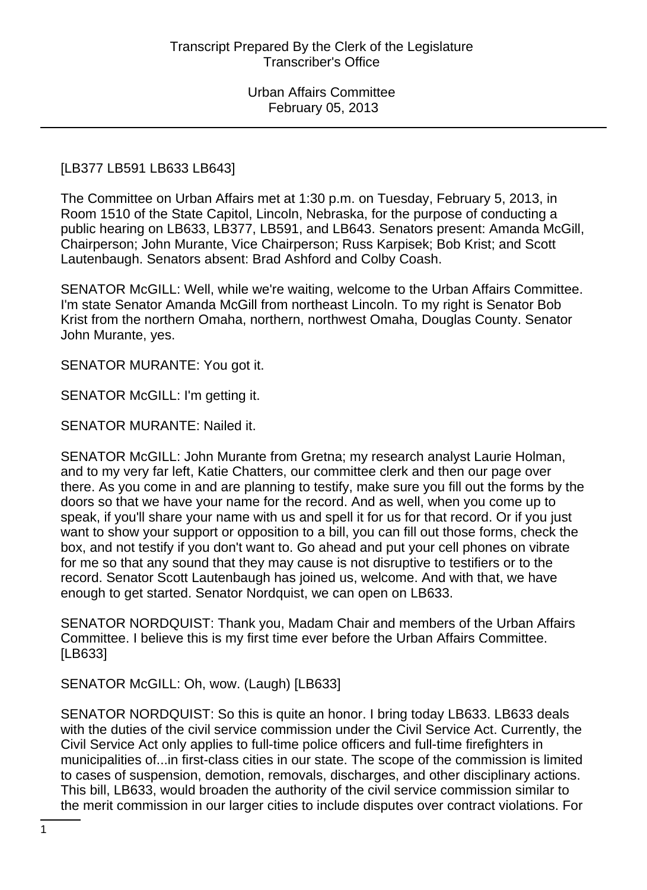## [LB377 LB591 LB633 LB643]

The Committee on Urban Affairs met at 1:30 p.m. on Tuesday, February 5, 2013, in Room 1510 of the State Capitol, Lincoln, Nebraska, for the purpose of conducting a public hearing on LB633, LB377, LB591, and LB643. Senators present: Amanda McGill, Chairperson; John Murante, Vice Chairperson; Russ Karpisek; Bob Krist; and Scott Lautenbaugh. Senators absent: Brad Ashford and Colby Coash.

SENATOR McGILL: Well, while we're waiting, welcome to the Urban Affairs Committee. I'm state Senator Amanda McGill from northeast Lincoln. To my right is Senator Bob Krist from the northern Omaha, northern, northwest Omaha, Douglas County. Senator John Murante, yes.

SENATOR MURANTE: You got it.

SENATOR McGILL: I'm getting it.

SENATOR MURANTE: Nailed it.

SENATOR McGILL: John Murante from Gretna; my research analyst Laurie Holman, and to my very far left, Katie Chatters, our committee clerk and then our page over there. As you come in and are planning to testify, make sure you fill out the forms by the doors so that we have your name for the record. And as well, when you come up to speak, if you'll share your name with us and spell it for us for that record. Or if you just want to show your support or opposition to a bill, you can fill out those forms, check the box, and not testify if you don't want to. Go ahead and put your cell phones on vibrate for me so that any sound that they may cause is not disruptive to testifiers or to the record. Senator Scott Lautenbaugh has joined us, welcome. And with that, we have enough to get started. Senator Nordquist, we can open on LB633.

SENATOR NORDQUIST: Thank you, Madam Chair and members of the Urban Affairs Committee. I believe this is my first time ever before the Urban Affairs Committee. [LB633]

SENATOR McGILL: Oh, wow. (Laugh) [LB633]

SENATOR NORDQUIST: So this is quite an honor. I bring today LB633. LB633 deals with the duties of the civil service commission under the Civil Service Act. Currently, the Civil Service Act only applies to full-time police officers and full-time firefighters in municipalities of...in first-class cities in our state. The scope of the commission is limited to cases of suspension, demotion, removals, discharges, and other disciplinary actions. This bill, LB633, would broaden the authority of the civil service commission similar to the merit commission in our larger cities to include disputes over contract violations. For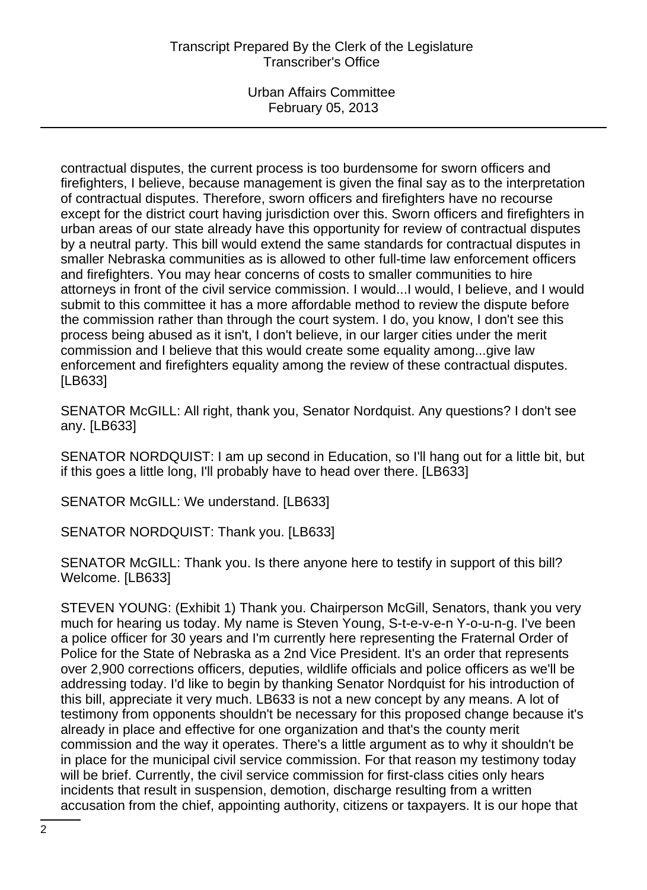contractual disputes, the current process is too burdensome for sworn officers and firefighters, I believe, because management is given the final say as to the interpretation of contractual disputes. Therefore, sworn officers and firefighters have no recourse except for the district court having jurisdiction over this. Sworn officers and firefighters in urban areas of our state already have this opportunity for review of contractual disputes by a neutral party. This bill would extend the same standards for contractual disputes in smaller Nebraska communities as is allowed to other full-time law enforcement officers and firefighters. You may hear concerns of costs to smaller communities to hire attorneys in front of the civil service commission. I would...I would, I believe, and I would submit to this committee it has a more affordable method to review the dispute before the commission rather than through the court system. I do, you know, I don't see this process being abused as it isn't, I don't believe, in our larger cities under the merit commission and I believe that this would create some equality among...give law enforcement and firefighters equality among the review of these contractual disputes. [LB633]

SENATOR McGILL: All right, thank you, Senator Nordquist. Any questions? I don't see any. [LB633]

SENATOR NORDQUIST: I am up second in Education, so I'll hang out for a little bit, but if this goes a little long, I'll probably have to head over there. [LB633]

SENATOR McGILL: We understand. [LB633]

SENATOR NORDQUIST: Thank you. [LB633]

SENATOR McGILL: Thank you. Is there anyone here to testify in support of this bill? Welcome. [LB633]

STEVEN YOUNG: (Exhibit 1) Thank you. Chairperson McGill, Senators, thank you very much for hearing us today. My name is Steven Young, S-t-e-v-e-n Y-o-u-n-g. I've been a police officer for 30 years and I'm currently here representing the Fraternal Order of Police for the State of Nebraska as a 2nd Vice President. It's an order that represents over 2,900 corrections officers, deputies, wildlife officials and police officers as we'll be addressing today. I'd like to begin by thanking Senator Nordquist for his introduction of this bill, appreciate it very much. LB633 is not a new concept by any means. A lot of testimony from opponents shouldn't be necessary for this proposed change because it's already in place and effective for one organization and that's the county merit commission and the way it operates. There's a little argument as to why it shouldn't be in place for the municipal civil service commission. For that reason my testimony today will be brief. Currently, the civil service commission for first-class cities only hears incidents that result in suspension, demotion, discharge resulting from a written accusation from the chief, appointing authority, citizens or taxpayers. It is our hope that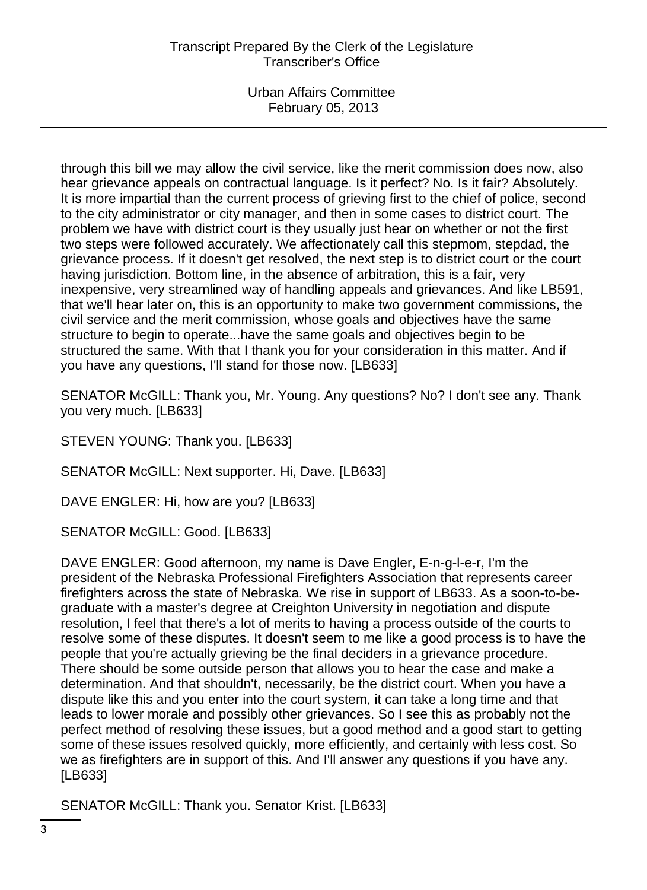through this bill we may allow the civil service, like the merit commission does now, also hear grievance appeals on contractual language. Is it perfect? No. Is it fair? Absolutely. It is more impartial than the current process of grieving first to the chief of police, second to the city administrator or city manager, and then in some cases to district court. The problem we have with district court is they usually just hear on whether or not the first two steps were followed accurately. We affectionately call this stepmom, stepdad, the grievance process. If it doesn't get resolved, the next step is to district court or the court having jurisdiction. Bottom line, in the absence of arbitration, this is a fair, very inexpensive, very streamlined way of handling appeals and grievances. And like LB591, that we'll hear later on, this is an opportunity to make two government commissions, the civil service and the merit commission, whose goals and objectives have the same structure to begin to operate...have the same goals and objectives begin to be structured the same. With that I thank you for your consideration in this matter. And if you have any questions, I'll stand for those now. [LB633]

SENATOR McGILL: Thank you, Mr. Young. Any questions? No? I don't see any. Thank you very much. [LB633]

STEVEN YOUNG: Thank you. [LB633]

SENATOR McGILL: Next supporter. Hi, Dave. [LB633]

DAVE ENGLER: Hi, how are you? [LB633]

SENATOR McGILL: Good. [LB633]

DAVE ENGLER: Good afternoon, my name is Dave Engler, E-n-g-l-e-r, I'm the president of the Nebraska Professional Firefighters Association that represents career firefighters across the state of Nebraska. We rise in support of LB633. As a soon-to-begraduate with a master's degree at Creighton University in negotiation and dispute resolution, I feel that there's a lot of merits to having a process outside of the courts to resolve some of these disputes. It doesn't seem to me like a good process is to have the people that you're actually grieving be the final deciders in a grievance procedure. There should be some outside person that allows you to hear the case and make a determination. And that shouldn't, necessarily, be the district court. When you have a dispute like this and you enter into the court system, it can take a long time and that leads to lower morale and possibly other grievances. So I see this as probably not the perfect method of resolving these issues, but a good method and a good start to getting some of these issues resolved quickly, more efficiently, and certainly with less cost. So we as firefighters are in support of this. And I'll answer any questions if you have any. [LB633]

SENATOR McGILL: Thank you. Senator Krist. [LB633]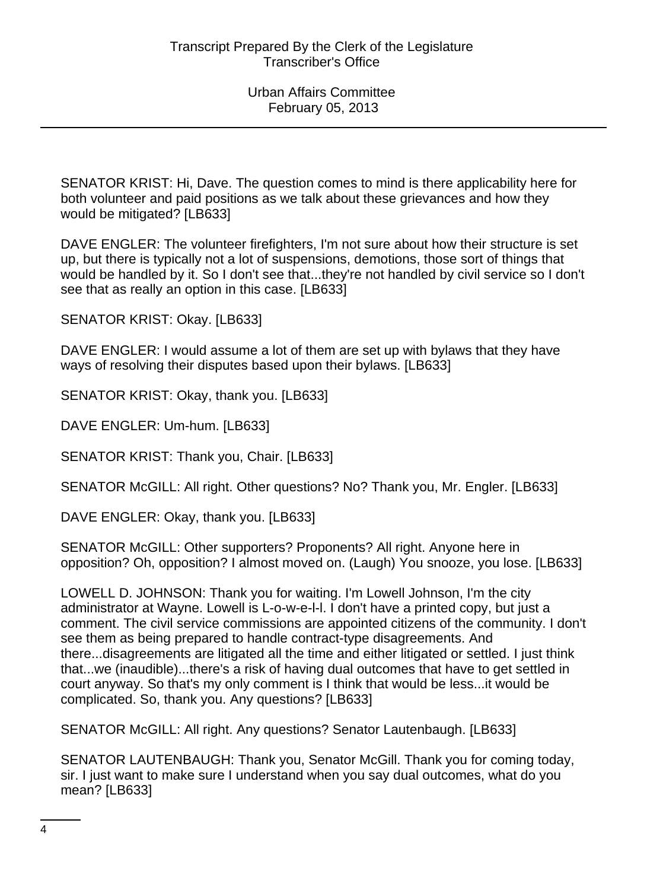SENATOR KRIST: Hi, Dave. The question comes to mind is there applicability here for both volunteer and paid positions as we talk about these grievances and how they would be mitigated? [LB633]

DAVE ENGLER: The volunteer firefighters, I'm not sure about how their structure is set up, but there is typically not a lot of suspensions, demotions, those sort of things that would be handled by it. So I don't see that...they're not handled by civil service so I don't see that as really an option in this case. [LB633]

SENATOR KRIST: Okay. [LB633]

DAVE ENGLER: I would assume a lot of them are set up with bylaws that they have ways of resolving their disputes based upon their bylaws. [LB633]

SENATOR KRIST: Okay, thank you. [LB633]

DAVE ENGLER: Um-hum. [LB633]

SENATOR KRIST: Thank you, Chair. [LB633]

SENATOR McGILL: All right. Other questions? No? Thank you, Mr. Engler. [LB633]

DAVE ENGLER: Okay, thank you. [LB633]

SENATOR McGILL: Other supporters? Proponents? All right. Anyone here in opposition? Oh, opposition? I almost moved on. (Laugh) You snooze, you lose. [LB633]

LOWELL D. JOHNSON: Thank you for waiting. I'm Lowell Johnson, I'm the city administrator at Wayne. Lowell is L-o-w-e-l-l. I don't have a printed copy, but just a comment. The civil service commissions are appointed citizens of the community. I don't see them as being prepared to handle contract-type disagreements. And there...disagreements are litigated all the time and either litigated or settled. I just think that...we (inaudible)...there's a risk of having dual outcomes that have to get settled in court anyway. So that's my only comment is I think that would be less...it would be complicated. So, thank you. Any questions? [LB633]

SENATOR McGILL: All right. Any questions? Senator Lautenbaugh. [LB633]

SENATOR LAUTENBAUGH: Thank you, Senator McGill. Thank you for coming today, sir. I just want to make sure I understand when you say dual outcomes, what do you mean? [LB633]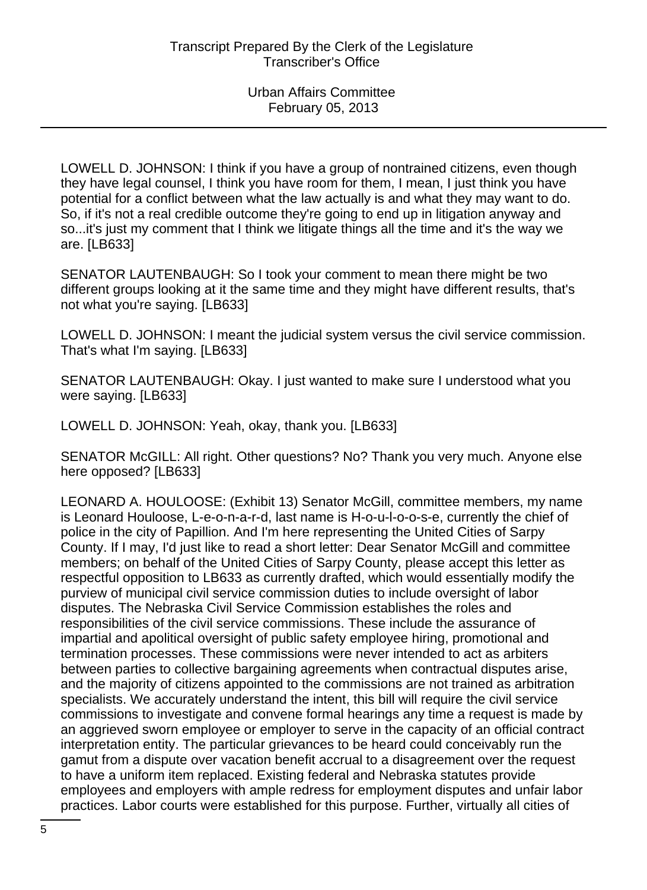LOWELL D. JOHNSON: I think if you have a group of nontrained citizens, even though they have legal counsel, I think you have room for them, I mean, I just think you have potential for a conflict between what the law actually is and what they may want to do. So, if it's not a real credible outcome they're going to end up in litigation anyway and so...it's just my comment that I think we litigate things all the time and it's the way we are. [LB633]

SENATOR LAUTENBAUGH: So I took your comment to mean there might be two different groups looking at it the same time and they might have different results, that's not what you're saying. [LB633]

LOWELL D. JOHNSON: I meant the judicial system versus the civil service commission. That's what I'm saying. [LB633]

SENATOR LAUTENBAUGH: Okay. I just wanted to make sure I understood what you were saying. [LB633]

LOWELL D. JOHNSON: Yeah, okay, thank you. [LB633]

SENATOR McGILL: All right. Other questions? No? Thank you very much. Anyone else here opposed? [LB633]

LEONARD A. HOULOOSE: (Exhibit 13) Senator McGill, committee members, my name is Leonard Houloose, L-e-o-n-a-r-d, last name is H-o-u-l-o-o-s-e, currently the chief of police in the city of Papillion. And I'm here representing the United Cities of Sarpy County. If I may, I'd just like to read a short letter: Dear Senator McGill and committee members; on behalf of the United Cities of Sarpy County, please accept this letter as respectful opposition to LB633 as currently drafted, which would essentially modify the purview of municipal civil service commission duties to include oversight of labor disputes. The Nebraska Civil Service Commission establishes the roles and responsibilities of the civil service commissions. These include the assurance of impartial and apolitical oversight of public safety employee hiring, promotional and termination processes. These commissions were never intended to act as arbiters between parties to collective bargaining agreements when contractual disputes arise, and the majority of citizens appointed to the commissions are not trained as arbitration specialists. We accurately understand the intent, this bill will require the civil service commissions to investigate and convene formal hearings any time a request is made by an aggrieved sworn employee or employer to serve in the capacity of an official contract interpretation entity. The particular grievances to be heard could conceivably run the gamut from a dispute over vacation benefit accrual to a disagreement over the request to have a uniform item replaced. Existing federal and Nebraska statutes provide employees and employers with ample redress for employment disputes and unfair labor practices. Labor courts were established for this purpose. Further, virtually all cities of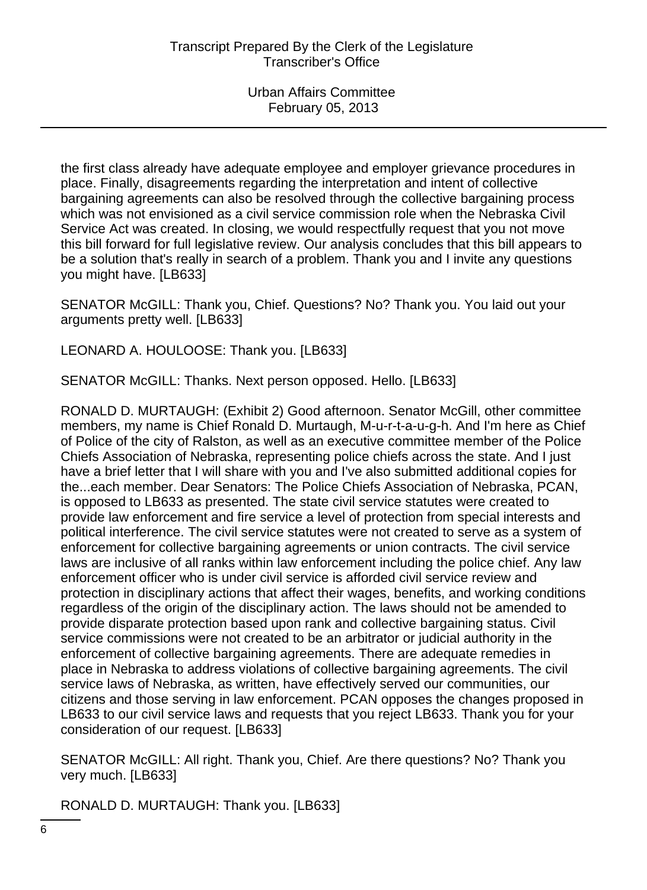the first class already have adequate employee and employer grievance procedures in place. Finally, disagreements regarding the interpretation and intent of collective bargaining agreements can also be resolved through the collective bargaining process which was not envisioned as a civil service commission role when the Nebraska Civil Service Act was created. In closing, we would respectfully request that you not move this bill forward for full legislative review. Our analysis concludes that this bill appears to be a solution that's really in search of a problem. Thank you and I invite any questions you might have. [LB633]

SENATOR McGILL: Thank you, Chief. Questions? No? Thank you. You laid out your arguments pretty well. [LB633]

LEONARD A. HOULOOSE: Thank you. [LB633]

SENATOR McGILL: Thanks. Next person opposed. Hello. [LB633]

RONALD D. MURTAUGH: (Exhibit 2) Good afternoon. Senator McGill, other committee members, my name is Chief Ronald D. Murtaugh, M-u-r-t-a-u-g-h. And I'm here as Chief of Police of the city of Ralston, as well as an executive committee member of the Police Chiefs Association of Nebraska, representing police chiefs across the state. And I just have a brief letter that I will share with you and I've also submitted additional copies for the...each member. Dear Senators: The Police Chiefs Association of Nebraska, PCAN, is opposed to LB633 as presented. The state civil service statutes were created to provide law enforcement and fire service a level of protection from special interests and political interference. The civil service statutes were not created to serve as a system of enforcement for collective bargaining agreements or union contracts. The civil service laws are inclusive of all ranks within law enforcement including the police chief. Any law enforcement officer who is under civil service is afforded civil service review and protection in disciplinary actions that affect their wages, benefits, and working conditions regardless of the origin of the disciplinary action. The laws should not be amended to provide disparate protection based upon rank and collective bargaining status. Civil service commissions were not created to be an arbitrator or judicial authority in the enforcement of collective bargaining agreements. There are adequate remedies in place in Nebraska to address violations of collective bargaining agreements. The civil service laws of Nebraska, as written, have effectively served our communities, our citizens and those serving in law enforcement. PCAN opposes the changes proposed in LB633 to our civil service laws and requests that you reject LB633. Thank you for your consideration of our request. [LB633]

SENATOR McGILL: All right. Thank you, Chief. Are there questions? No? Thank you very much. [LB633]

RONALD D. MURTAUGH: Thank you. [LB633]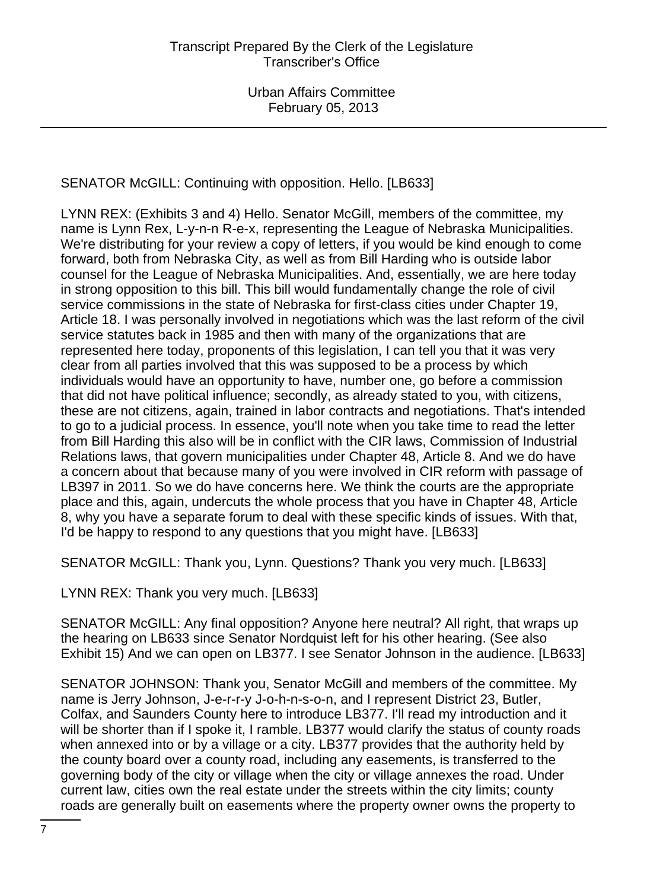SENATOR McGILL: Continuing with opposition. Hello. [LB633]

LYNN REX: (Exhibits 3 and 4) Hello. Senator McGill, members of the committee, my name is Lynn Rex, L-y-n-n R-e-x, representing the League of Nebraska Municipalities. We're distributing for your review a copy of letters, if you would be kind enough to come forward, both from Nebraska City, as well as from Bill Harding who is outside labor counsel for the League of Nebraska Municipalities. And, essentially, we are here today in strong opposition to this bill. This bill would fundamentally change the role of civil service commissions in the state of Nebraska for first-class cities under Chapter 19, Article 18. I was personally involved in negotiations which was the last reform of the civil service statutes back in 1985 and then with many of the organizations that are represented here today, proponents of this legislation, I can tell you that it was very clear from all parties involved that this was supposed to be a process by which individuals would have an opportunity to have, number one, go before a commission that did not have political influence; secondly, as already stated to you, with citizens, these are not citizens, again, trained in labor contracts and negotiations. That's intended to go to a judicial process. In essence, you'll note when you take time to read the letter from Bill Harding this also will be in conflict with the CIR laws, Commission of Industrial Relations laws, that govern municipalities under Chapter 48, Article 8. And we do have a concern about that because many of you were involved in CIR reform with passage of LB397 in 2011. So we do have concerns here. We think the courts are the appropriate place and this, again, undercuts the whole process that you have in Chapter 48, Article 8, why you have a separate forum to deal with these specific kinds of issues. With that, I'd be happy to respond to any questions that you might have. [LB633]

SENATOR McGILL: Thank you, Lynn. Questions? Thank you very much. [LB633]

LYNN REX: Thank you very much. [LB633]

SENATOR McGILL: Any final opposition? Anyone here neutral? All right, that wraps up the hearing on LB633 since Senator Nordquist left for his other hearing. (See also Exhibit 15) And we can open on LB377. I see Senator Johnson in the audience. [LB633]

SENATOR JOHNSON: Thank you, Senator McGill and members of the committee. My name is Jerry Johnson, J-e-r-r-y J-o-h-n-s-o-n, and I represent District 23, Butler, Colfax, and Saunders County here to introduce LB377. I'll read my introduction and it will be shorter than if I spoke it, I ramble. LB377 would clarify the status of county roads when annexed into or by a village or a city. LB377 provides that the authority held by the county board over a county road, including any easements, is transferred to the governing body of the city or village when the city or village annexes the road. Under current law, cities own the real estate under the streets within the city limits; county roads are generally built on easements where the property owner owns the property to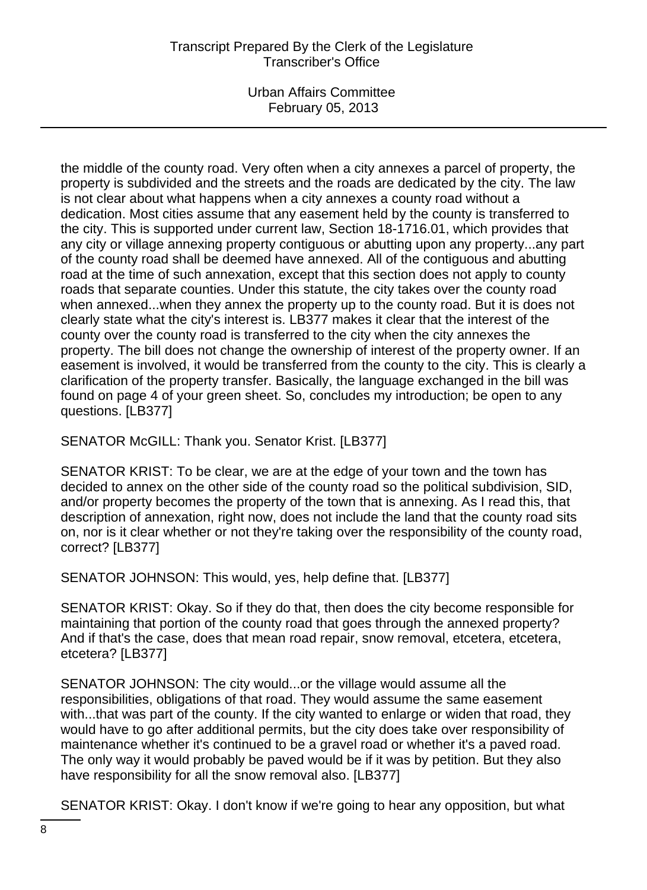Urban Affairs Committee February 05, 2013

the middle of the county road. Very often when a city annexes a parcel of property, the property is subdivided and the streets and the roads are dedicated by the city. The law is not clear about what happens when a city annexes a county road without a dedication. Most cities assume that any easement held by the county is transferred to the city. This is supported under current law, Section 18-1716.01, which provides that any city or village annexing property contiguous or abutting upon any property...any part of the county road shall be deemed have annexed. All of the contiguous and abutting road at the time of such annexation, except that this section does not apply to county roads that separate counties. Under this statute, the city takes over the county road when annexed...when they annex the property up to the county road. But it is does not clearly state what the city's interest is. LB377 makes it clear that the interest of the county over the county road is transferred to the city when the city annexes the property. The bill does not change the ownership of interest of the property owner. If an easement is involved, it would be transferred from the county to the city. This is clearly a clarification of the property transfer. Basically, the language exchanged in the bill was found on page 4 of your green sheet. So, concludes my introduction; be open to any questions. [LB377]

SENATOR McGILL: Thank you. Senator Krist. [LB377]

SENATOR KRIST: To be clear, we are at the edge of your town and the town has decided to annex on the other side of the county road so the political subdivision, SID, and/or property becomes the property of the town that is annexing. As I read this, that description of annexation, right now, does not include the land that the county road sits on, nor is it clear whether or not they're taking over the responsibility of the county road, correct? [LB377]

SENATOR JOHNSON: This would, yes, help define that. [LB377]

SENATOR KRIST: Okay. So if they do that, then does the city become responsible for maintaining that portion of the county road that goes through the annexed property? And if that's the case, does that mean road repair, snow removal, etcetera, etcetera, etcetera? [LB377]

SENATOR JOHNSON: The city would...or the village would assume all the responsibilities, obligations of that road. They would assume the same easement with...that was part of the county. If the city wanted to enlarge or widen that road, they would have to go after additional permits, but the city does take over responsibility of maintenance whether it's continued to be a gravel road or whether it's a paved road. The only way it would probably be paved would be if it was by petition. But they also have responsibility for all the snow removal also. [LB377]

SENATOR KRIST: Okay. I don't know if we're going to hear any opposition, but what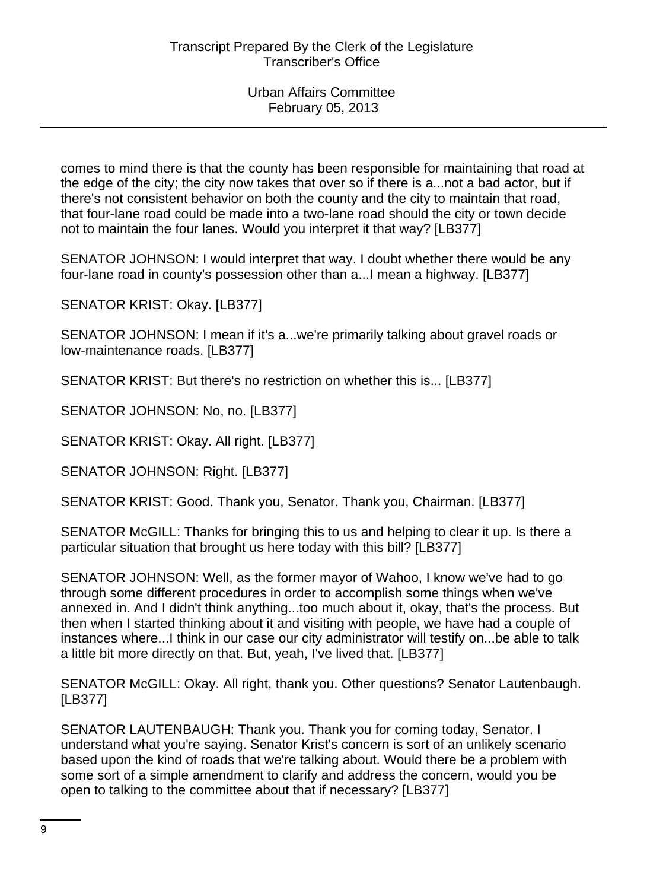comes to mind there is that the county has been responsible for maintaining that road at the edge of the city; the city now takes that over so if there is a...not a bad actor, but if there's not consistent behavior on both the county and the city to maintain that road, that four-lane road could be made into a two-lane road should the city or town decide not to maintain the four lanes. Would you interpret it that way? [LB377]

SENATOR JOHNSON: I would interpret that way. I doubt whether there would be any four-lane road in county's possession other than a...I mean a highway. [LB377]

SENATOR KRIST: Okay. [LB377]

SENATOR JOHNSON: I mean if it's a...we're primarily talking about gravel roads or low-maintenance roads. [LB377]

SENATOR KRIST: But there's no restriction on whether this is... [LB377]

SENATOR JOHNSON: No, no. [LB377]

SENATOR KRIST: Okay. All right. [LB377]

SENATOR JOHNSON: Right. [LB377]

SENATOR KRIST: Good. Thank you, Senator. Thank you, Chairman. [LB377]

SENATOR McGILL: Thanks for bringing this to us and helping to clear it up. Is there a particular situation that brought us here today with this bill? [LB377]

SENATOR JOHNSON: Well, as the former mayor of Wahoo, I know we've had to go through some different procedures in order to accomplish some things when we've annexed in. And I didn't think anything...too much about it, okay, that's the process. But then when I started thinking about it and visiting with people, we have had a couple of instances where...I think in our case our city administrator will testify on...be able to talk a little bit more directly on that. But, yeah, I've lived that. [LB377]

SENATOR McGILL: Okay. All right, thank you. Other questions? Senator Lautenbaugh. [LB377]

SENATOR LAUTENBAUGH: Thank you. Thank you for coming today, Senator. I understand what you're saying. Senator Krist's concern is sort of an unlikely scenario based upon the kind of roads that we're talking about. Would there be a problem with some sort of a simple amendment to clarify and address the concern, would you be open to talking to the committee about that if necessary? [LB377]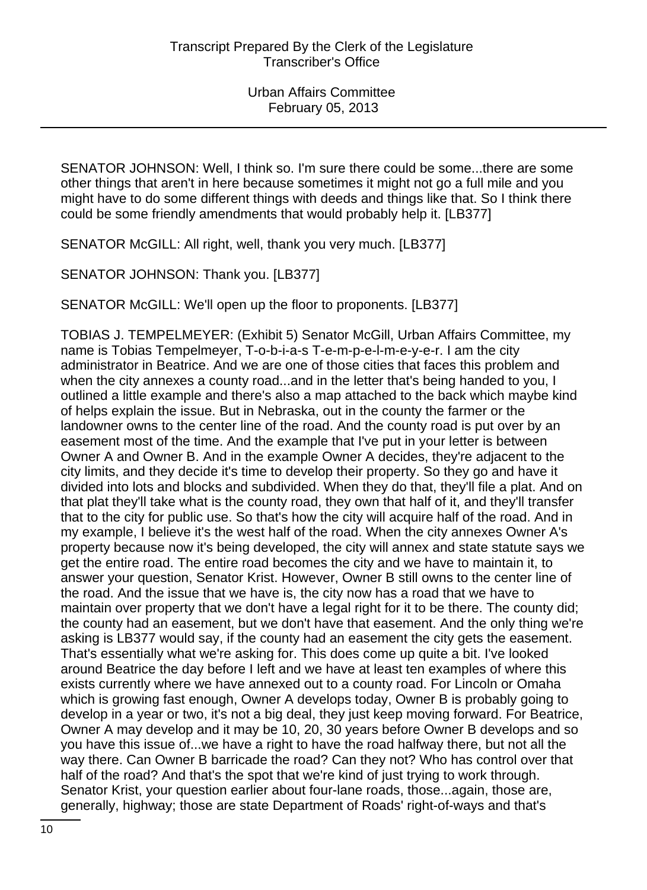SENATOR JOHNSON: Well, I think so. I'm sure there could be some...there are some other things that aren't in here because sometimes it might not go a full mile and you might have to do some different things with deeds and things like that. So I think there could be some friendly amendments that would probably help it. [LB377]

SENATOR McGILL: All right, well, thank you very much. [LB377]

SENATOR JOHNSON: Thank you. [LB377]

SENATOR McGILL: We'll open up the floor to proponents. [LB377]

TOBIAS J. TEMPELMEYER: (Exhibit 5) Senator McGill, Urban Affairs Committee, my name is Tobias Tempelmeyer, T-o-b-i-a-s T-e-m-p-e-l-m-e-y-e-r. I am the city administrator in Beatrice. And we are one of those cities that faces this problem and when the city annexes a county road...and in the letter that's being handed to you, I outlined a little example and there's also a map attached to the back which maybe kind of helps explain the issue. But in Nebraska, out in the county the farmer or the landowner owns to the center line of the road. And the county road is put over by an easement most of the time. And the example that I've put in your letter is between Owner A and Owner B. And in the example Owner A decides, they're adjacent to the city limits, and they decide it's time to develop their property. So they go and have it divided into lots and blocks and subdivided. When they do that, they'll file a plat. And on that plat they'll take what is the county road, they own that half of it, and they'll transfer that to the city for public use. So that's how the city will acquire half of the road. And in my example, I believe it's the west half of the road. When the city annexes Owner A's property because now it's being developed, the city will annex and state statute says we get the entire road. The entire road becomes the city and we have to maintain it, to answer your question, Senator Krist. However, Owner B still owns to the center line of the road. And the issue that we have is, the city now has a road that we have to maintain over property that we don't have a legal right for it to be there. The county did; the county had an easement, but we don't have that easement. And the only thing we're asking is LB377 would say, if the county had an easement the city gets the easement. That's essentially what we're asking for. This does come up quite a bit. I've looked around Beatrice the day before I left and we have at least ten examples of where this exists currently where we have annexed out to a county road. For Lincoln or Omaha which is growing fast enough, Owner A develops today, Owner B is probably going to develop in a year or two, it's not a big deal, they just keep moving forward. For Beatrice, Owner A may develop and it may be 10, 20, 30 years before Owner B develops and so you have this issue of...we have a right to have the road halfway there, but not all the way there. Can Owner B barricade the road? Can they not? Who has control over that half of the road? And that's the spot that we're kind of just trying to work through. Senator Krist, your question earlier about four-lane roads, those...again, those are, generally, highway; those are state Department of Roads' right-of-ways and that's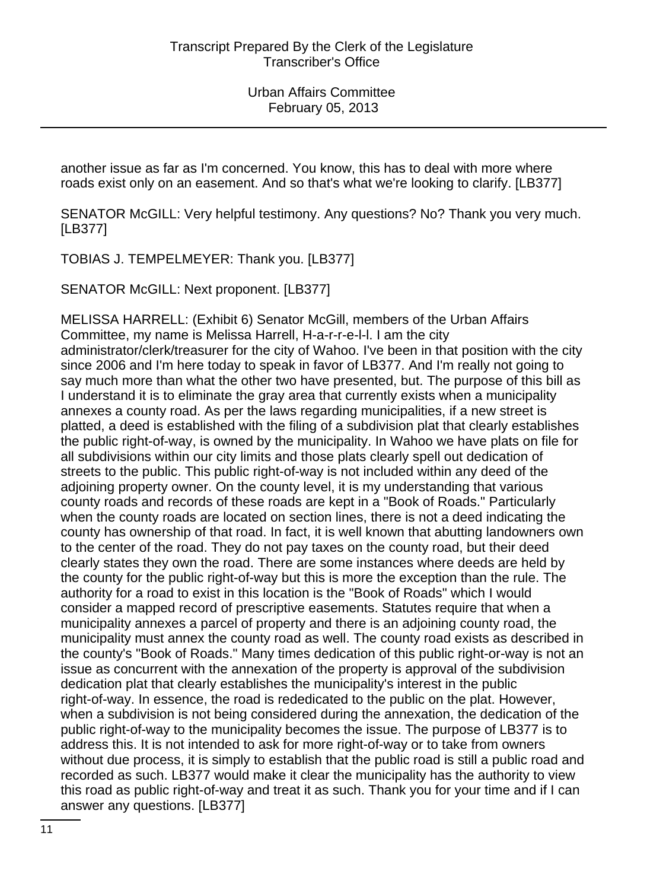another issue as far as I'm concerned. You know, this has to deal with more where roads exist only on an easement. And so that's what we're looking to clarify. [LB377]

SENATOR McGILL: Very helpful testimony. Any questions? No? Thank you very much. [LB377]

TOBIAS J. TEMPELMEYER: Thank you. [LB377]

SENATOR McGILL: Next proponent. [LB377]

MELISSA HARRELL: (Exhibit 6) Senator McGill, members of the Urban Affairs Committee, my name is Melissa Harrell, H-a-r-r-e-l-l. I am the city administrator/clerk/treasurer for the city of Wahoo. I've been in that position with the city since 2006 and I'm here today to speak in favor of LB377. And I'm really not going to say much more than what the other two have presented, but. The purpose of this bill as I understand it is to eliminate the gray area that currently exists when a municipality annexes a county road. As per the laws regarding municipalities, if a new street is platted, a deed is established with the filing of a subdivision plat that clearly establishes the public right-of-way, is owned by the municipality. In Wahoo we have plats on file for all subdivisions within our city limits and those plats clearly spell out dedication of streets to the public. This public right-of-way is not included within any deed of the adjoining property owner. On the county level, it is my understanding that various county roads and records of these roads are kept in a "Book of Roads." Particularly when the county roads are located on section lines, there is not a deed indicating the county has ownership of that road. In fact, it is well known that abutting landowners own to the center of the road. They do not pay taxes on the county road, but their deed clearly states they own the road. There are some instances where deeds are held by the county for the public right-of-way but this is more the exception than the rule. The authority for a road to exist in this location is the "Book of Roads" which I would consider a mapped record of prescriptive easements. Statutes require that when a municipality annexes a parcel of property and there is an adjoining county road, the municipality must annex the county road as well. The county road exists as described in the county's "Book of Roads." Many times dedication of this public right-or-way is not an issue as concurrent with the annexation of the property is approval of the subdivision dedication plat that clearly establishes the municipality's interest in the public right-of-way. In essence, the road is rededicated to the public on the plat. However, when a subdivision is not being considered during the annexation, the dedication of the public right-of-way to the municipality becomes the issue. The purpose of LB377 is to address this. It is not intended to ask for more right-of-way or to take from owners without due process, it is simply to establish that the public road is still a public road and recorded as such. LB377 would make it clear the municipality has the authority to view this road as public right-of-way and treat it as such. Thank you for your time and if I can answer any questions. [LB377]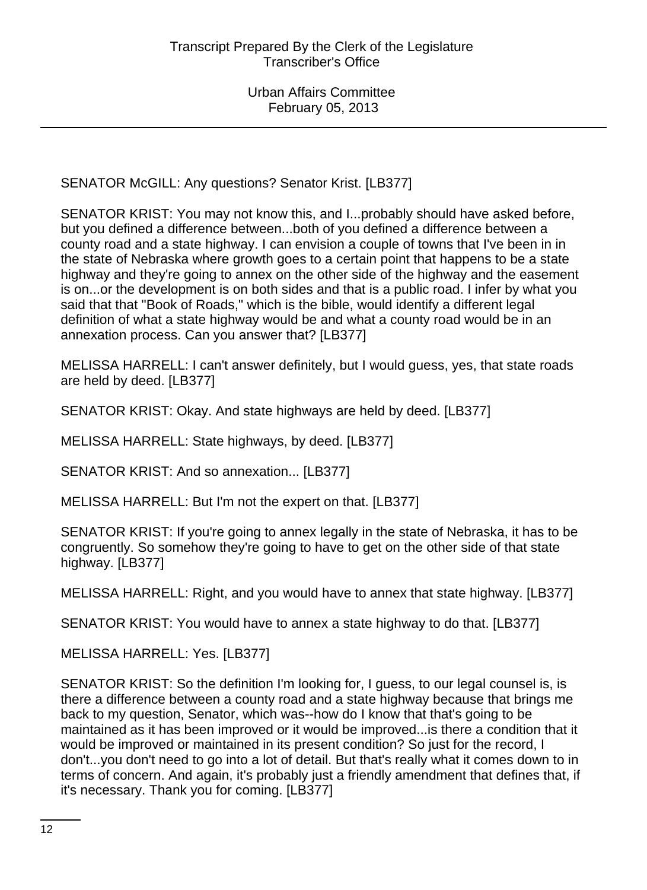SENATOR McGILL: Any questions? Senator Krist. [LB377]

SENATOR KRIST: You may not know this, and I...probably should have asked before, but you defined a difference between...both of you defined a difference between a county road and a state highway. I can envision a couple of towns that I've been in in the state of Nebraska where growth goes to a certain point that happens to be a state highway and they're going to annex on the other side of the highway and the easement is on...or the development is on both sides and that is a public road. I infer by what you said that that "Book of Roads," which is the bible, would identify a different legal definition of what a state highway would be and what a county road would be in an annexation process. Can you answer that? [LB377]

MELISSA HARRELL: I can't answer definitely, but I would guess, yes, that state roads are held by deed. [LB377]

SENATOR KRIST: Okay. And state highways are held by deed. [LB377]

MELISSA HARRELL: State highways, by deed. [LB377]

SENATOR KRIST: And so annexation... [LB377]

MELISSA HARRELL: But I'm not the expert on that. [LB377]

SENATOR KRIST: If you're going to annex legally in the state of Nebraska, it has to be congruently. So somehow they're going to have to get on the other side of that state highway. [LB377]

MELISSA HARRELL: Right, and you would have to annex that state highway. [LB377]

SENATOR KRIST: You would have to annex a state highway to do that. [LB377]

MELISSA HARRELL: Yes. [LB377]

SENATOR KRIST: So the definition I'm looking for, I guess, to our legal counsel is, is there a difference between a county road and a state highway because that brings me back to my question, Senator, which was--how do I know that that's going to be maintained as it has been improved or it would be improved...is there a condition that it would be improved or maintained in its present condition? So just for the record, I don't...you don't need to go into a lot of detail. But that's really what it comes down to in terms of concern. And again, it's probably just a friendly amendment that defines that, if it's necessary. Thank you for coming. [LB377]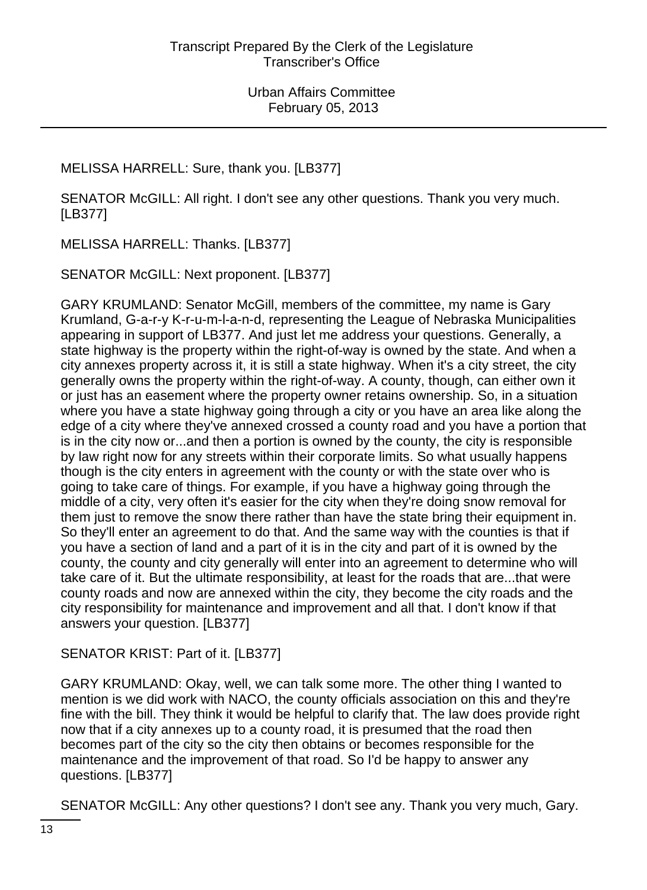## MELISSA HARRELL: Sure, thank you. [LB377]

SENATOR McGILL: All right. I don't see any other questions. Thank you very much. [LB377]

MELISSA HARRELL: Thanks. [LB377]

SENATOR McGILL: Next proponent. [LB377]

GARY KRUMLAND: Senator McGill, members of the committee, my name is Gary Krumland, G-a-r-y K-r-u-m-l-a-n-d, representing the League of Nebraska Municipalities appearing in support of LB377. And just let me address your questions. Generally, a state highway is the property within the right-of-way is owned by the state. And when a city annexes property across it, it is still a state highway. When it's a city street, the city generally owns the property within the right-of-way. A county, though, can either own it or just has an easement where the property owner retains ownership. So, in a situation where you have a state highway going through a city or you have an area like along the edge of a city where they've annexed crossed a county road and you have a portion that is in the city now or...and then a portion is owned by the county, the city is responsible by law right now for any streets within their corporate limits. So what usually happens though is the city enters in agreement with the county or with the state over who is going to take care of things. For example, if you have a highway going through the middle of a city, very often it's easier for the city when they're doing snow removal for them just to remove the snow there rather than have the state bring their equipment in. So they'll enter an agreement to do that. And the same way with the counties is that if you have a section of land and a part of it is in the city and part of it is owned by the county, the county and city generally will enter into an agreement to determine who will take care of it. But the ultimate responsibility, at least for the roads that are...that were county roads and now are annexed within the city, they become the city roads and the city responsibility for maintenance and improvement and all that. I don't know if that answers your question. [LB377]

# SENATOR KRIST: Part of it. [LB377]

GARY KRUMLAND: Okay, well, we can talk some more. The other thing I wanted to mention is we did work with NACO, the county officials association on this and they're fine with the bill. They think it would be helpful to clarify that. The law does provide right now that if a city annexes up to a county road, it is presumed that the road then becomes part of the city so the city then obtains or becomes responsible for the maintenance and the improvement of that road. So I'd be happy to answer any questions. [LB377]

SENATOR McGILL: Any other questions? I don't see any. Thank you very much, Gary.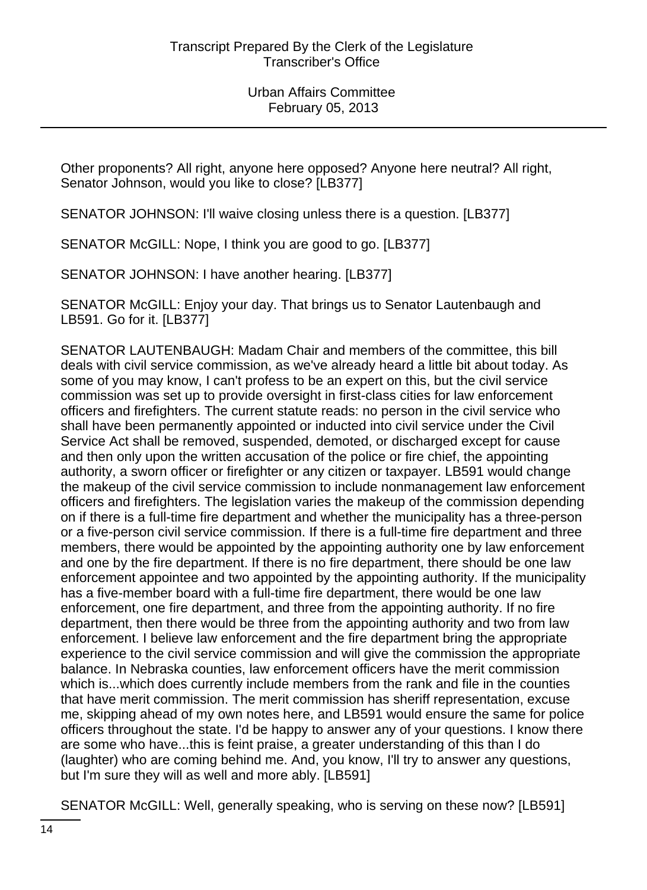Other proponents? All right, anyone here opposed? Anyone here neutral? All right, Senator Johnson, would you like to close? [LB377]

SENATOR JOHNSON: I'll waive closing unless there is a question. [LB377]

SENATOR McGILL: Nope, I think you are good to go. [LB377]

SENATOR JOHNSON: I have another hearing. [LB377]

SENATOR McGILL: Enjoy your day. That brings us to Senator Lautenbaugh and LB591. Go for it. [LB377]

SENATOR LAUTENBAUGH: Madam Chair and members of the committee, this bill deals with civil service commission, as we've already heard a little bit about today. As some of you may know, I can't profess to be an expert on this, but the civil service commission was set up to provide oversight in first-class cities for law enforcement officers and firefighters. The current statute reads: no person in the civil service who shall have been permanently appointed or inducted into civil service under the Civil Service Act shall be removed, suspended, demoted, or discharged except for cause and then only upon the written accusation of the police or fire chief, the appointing authority, a sworn officer or firefighter or any citizen or taxpayer. LB591 would change the makeup of the civil service commission to include nonmanagement law enforcement officers and firefighters. The legislation varies the makeup of the commission depending on if there is a full-time fire department and whether the municipality has a three-person or a five-person civil service commission. If there is a full-time fire department and three members, there would be appointed by the appointing authority one by law enforcement and one by the fire department. If there is no fire department, there should be one law enforcement appointee and two appointed by the appointing authority. If the municipality has a five-member board with a full-time fire department, there would be one law enforcement, one fire department, and three from the appointing authority. If no fire department, then there would be three from the appointing authority and two from law enforcement. I believe law enforcement and the fire department bring the appropriate experience to the civil service commission and will give the commission the appropriate balance. In Nebraska counties, law enforcement officers have the merit commission which is...which does currently include members from the rank and file in the counties that have merit commission. The merit commission has sheriff representation, excuse me, skipping ahead of my own notes here, and LB591 would ensure the same for police officers throughout the state. I'd be happy to answer any of your questions. I know there are some who have...this is feint praise, a greater understanding of this than I do (laughter) who are coming behind me. And, you know, I'll try to answer any questions, but I'm sure they will as well and more ably. [LB591]

SENATOR McGILL: Well, generally speaking, who is serving on these now? [LB591]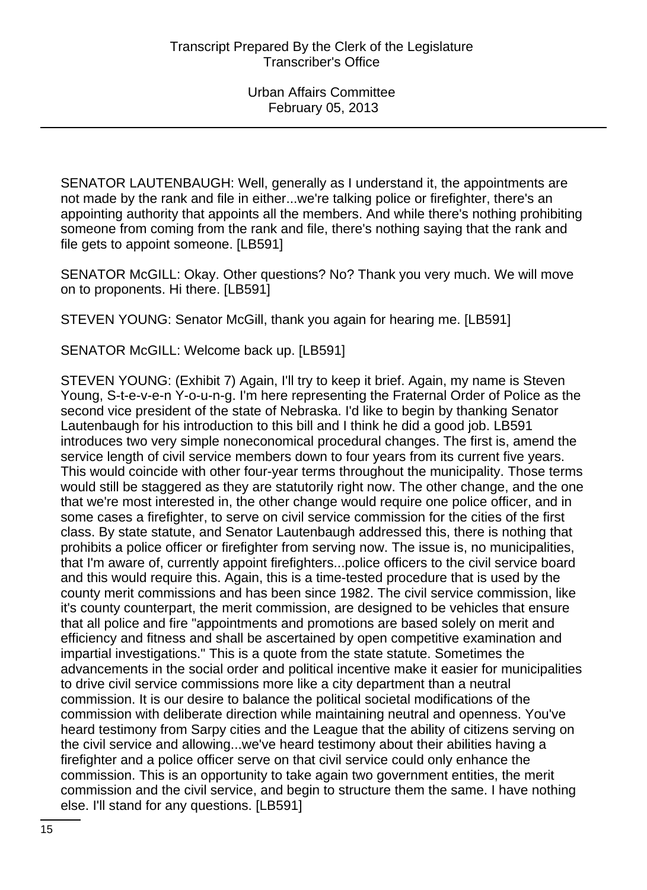SENATOR LAUTENBAUGH: Well, generally as I understand it, the appointments are not made by the rank and file in either...we're talking police or firefighter, there's an appointing authority that appoints all the members. And while there's nothing prohibiting someone from coming from the rank and file, there's nothing saying that the rank and file gets to appoint someone. [LB591]

SENATOR McGILL: Okay. Other questions? No? Thank you very much. We will move on to proponents. Hi there. [LB591]

STEVEN YOUNG: Senator McGill, thank you again for hearing me. [LB591]

SENATOR McGILL: Welcome back up. [LB591]

STEVEN YOUNG: (Exhibit 7) Again, I'll try to keep it brief. Again, my name is Steven Young, S-t-e-v-e-n Y-o-u-n-g. I'm here representing the Fraternal Order of Police as the second vice president of the state of Nebraska. I'd like to begin by thanking Senator Lautenbaugh for his introduction to this bill and I think he did a good job. LB591 introduces two very simple noneconomical procedural changes. The first is, amend the service length of civil service members down to four years from its current five years. This would coincide with other four-year terms throughout the municipality. Those terms would still be staggered as they are statutorily right now. The other change, and the one that we're most interested in, the other change would require one police officer, and in some cases a firefighter, to serve on civil service commission for the cities of the first class. By state statute, and Senator Lautenbaugh addressed this, there is nothing that prohibits a police officer or firefighter from serving now. The issue is, no municipalities, that I'm aware of, currently appoint firefighters...police officers to the civil service board and this would require this. Again, this is a time-tested procedure that is used by the county merit commissions and has been since 1982. The civil service commission, like it's county counterpart, the merit commission, are designed to be vehicles that ensure that all police and fire "appointments and promotions are based solely on merit and efficiency and fitness and shall be ascertained by open competitive examination and impartial investigations." This is a quote from the state statute. Sometimes the advancements in the social order and political incentive make it easier for municipalities to drive civil service commissions more like a city department than a neutral commission. It is our desire to balance the political societal modifications of the commission with deliberate direction while maintaining neutral and openness. You've heard testimony from Sarpy cities and the League that the ability of citizens serving on the civil service and allowing...we've heard testimony about their abilities having a firefighter and a police officer serve on that civil service could only enhance the commission. This is an opportunity to take again two government entities, the merit commission and the civil service, and begin to structure them the same. I have nothing else. I'll stand for any questions. [LB591]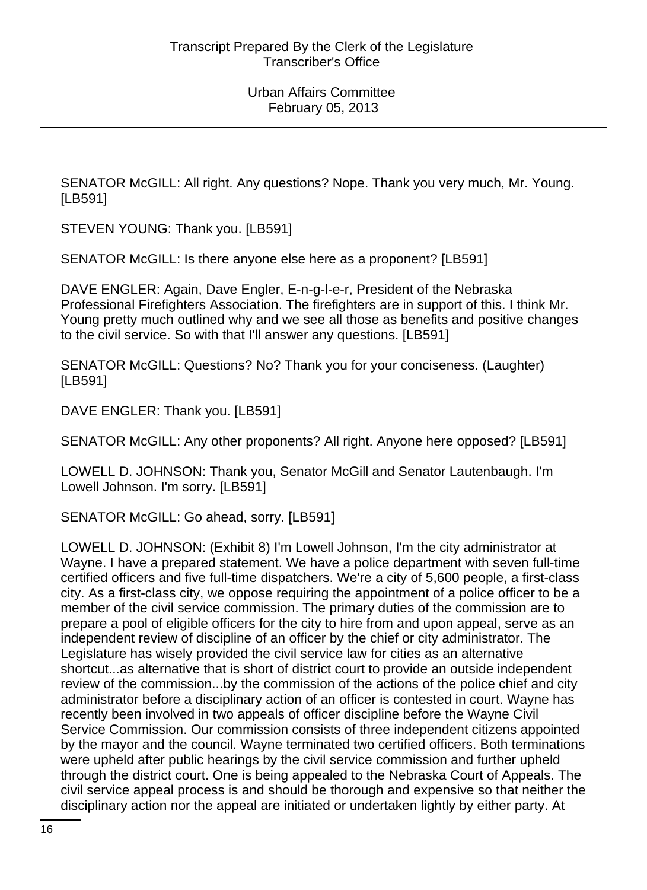SENATOR McGILL: All right. Any questions? Nope. Thank you very much, Mr. Young. [LB591]

STEVEN YOUNG: Thank you. [LB591]

SENATOR McGILL: Is there anyone else here as a proponent? [LB591]

DAVE ENGLER: Again, Dave Engler, E-n-g-l-e-r, President of the Nebraska Professional Firefighters Association. The firefighters are in support of this. I think Mr. Young pretty much outlined why and we see all those as benefits and positive changes to the civil service. So with that I'll answer any questions. [LB591]

SENATOR McGILL: Questions? No? Thank you for your conciseness. (Laughter) [LB591]

DAVE ENGLER: Thank you. [LB591]

SENATOR McGILL: Any other proponents? All right. Anyone here opposed? [LB591]

LOWELL D. JOHNSON: Thank you, Senator McGill and Senator Lautenbaugh. I'm Lowell Johnson. I'm sorry. [LB591]

SENATOR McGILL: Go ahead, sorry. [LB591]

LOWELL D. JOHNSON: (Exhibit 8) I'm Lowell Johnson, I'm the city administrator at Wayne. I have a prepared statement. We have a police department with seven full-time certified officers and five full-time dispatchers. We're a city of 5,600 people, a first-class city. As a first-class city, we oppose requiring the appointment of a police officer to be a member of the civil service commission. The primary duties of the commission are to prepare a pool of eligible officers for the city to hire from and upon appeal, serve as an independent review of discipline of an officer by the chief or city administrator. The Legislature has wisely provided the civil service law for cities as an alternative shortcut...as alternative that is short of district court to provide an outside independent review of the commission...by the commission of the actions of the police chief and city administrator before a disciplinary action of an officer is contested in court. Wayne has recently been involved in two appeals of officer discipline before the Wayne Civil Service Commission. Our commission consists of three independent citizens appointed by the mayor and the council. Wayne terminated two certified officers. Both terminations were upheld after public hearings by the civil service commission and further upheld through the district court. One is being appealed to the Nebraska Court of Appeals. The civil service appeal process is and should be thorough and expensive so that neither the disciplinary action nor the appeal are initiated or undertaken lightly by either party. At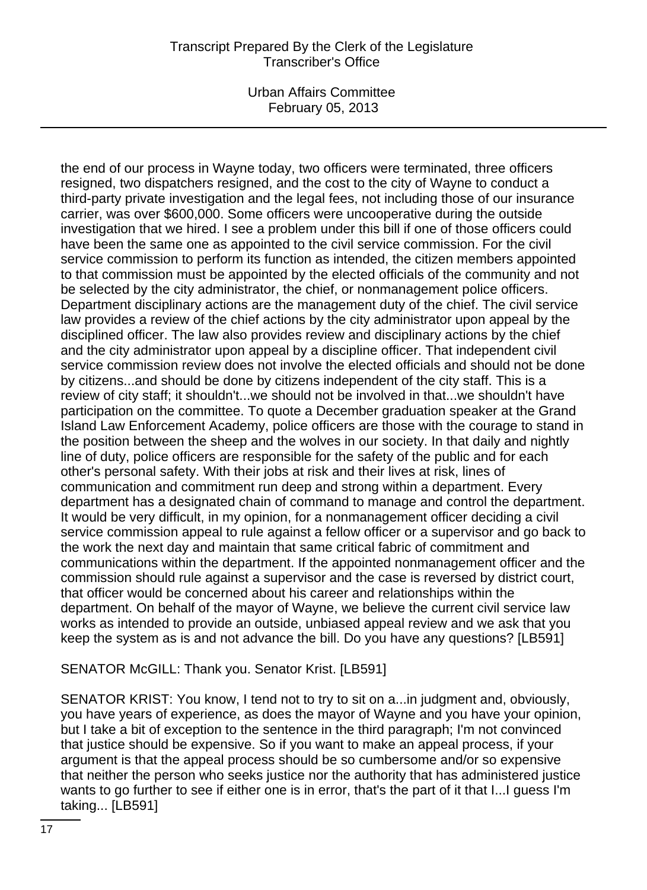Urban Affairs Committee February 05, 2013

the end of our process in Wayne today, two officers were terminated, three officers resigned, two dispatchers resigned, and the cost to the city of Wayne to conduct a third-party private investigation and the legal fees, not including those of our insurance carrier, was over \$600,000. Some officers were uncooperative during the outside investigation that we hired. I see a problem under this bill if one of those officers could have been the same one as appointed to the civil service commission. For the civil service commission to perform its function as intended, the citizen members appointed to that commission must be appointed by the elected officials of the community and not be selected by the city administrator, the chief, or nonmanagement police officers. Department disciplinary actions are the management duty of the chief. The civil service law provides a review of the chief actions by the city administrator upon appeal by the disciplined officer. The law also provides review and disciplinary actions by the chief and the city administrator upon appeal by a discipline officer. That independent civil service commission review does not involve the elected officials and should not be done by citizens...and should be done by citizens independent of the city staff. This is a review of city staff; it shouldn't...we should not be involved in that...we shouldn't have participation on the committee. To quote a December graduation speaker at the Grand Island Law Enforcement Academy, police officers are those with the courage to stand in the position between the sheep and the wolves in our society. In that daily and nightly line of duty, police officers are responsible for the safety of the public and for each other's personal safety. With their jobs at risk and their lives at risk, lines of communication and commitment run deep and strong within a department. Every department has a designated chain of command to manage and control the department. It would be very difficult, in my opinion, for a nonmanagement officer deciding a civil service commission appeal to rule against a fellow officer or a supervisor and go back to the work the next day and maintain that same critical fabric of commitment and communications within the department. If the appointed nonmanagement officer and the commission should rule against a supervisor and the case is reversed by district court, that officer would be concerned about his career and relationships within the department. On behalf of the mayor of Wayne, we believe the current civil service law works as intended to provide an outside, unbiased appeal review and we ask that you keep the system as is and not advance the bill. Do you have any questions? [LB591]

#### SENATOR McGILL: Thank you. Senator Krist. [LB591]

SENATOR KRIST: You know, I tend not to try to sit on a...in judgment and, obviously, you have years of experience, as does the mayor of Wayne and you have your opinion, but I take a bit of exception to the sentence in the third paragraph; I'm not convinced that justice should be expensive. So if you want to make an appeal process, if your argument is that the appeal process should be so cumbersome and/or so expensive that neither the person who seeks justice nor the authority that has administered justice wants to go further to see if either one is in error, that's the part of it that I...I guess I'm taking... [LB591]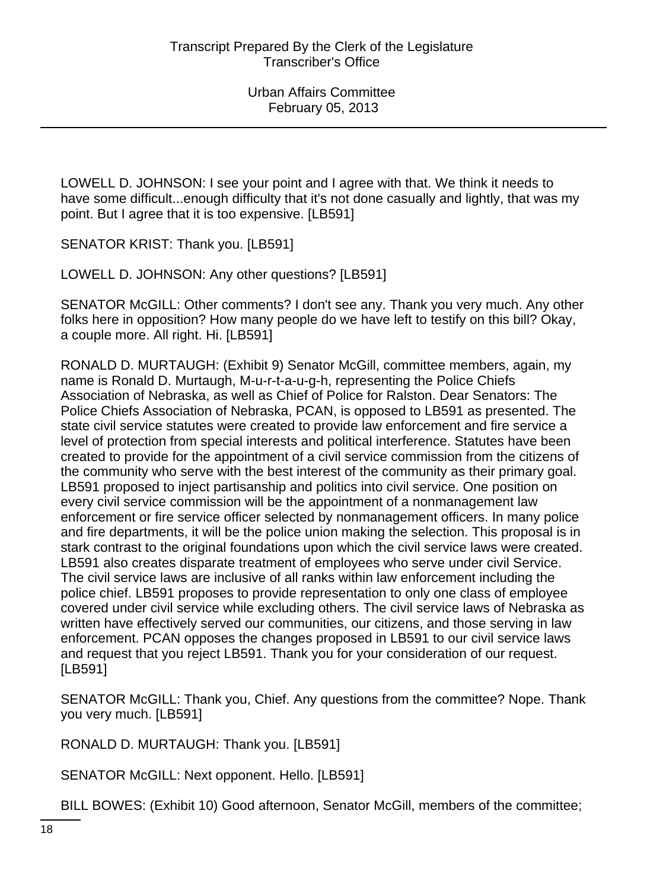LOWELL D. JOHNSON: I see your point and I agree with that. We think it needs to have some difficult...enough difficulty that it's not done casually and lightly, that was my point. But I agree that it is too expensive. [LB591]

SENATOR KRIST: Thank you. [LB591]

LOWELL D. JOHNSON: Any other questions? [LB591]

SENATOR McGILL: Other comments? I don't see any. Thank you very much. Any other folks here in opposition? How many people do we have left to testify on this bill? Okay, a couple more. All right. Hi. [LB591]

RONALD D. MURTAUGH: (Exhibit 9) Senator McGill, committee members, again, my name is Ronald D. Murtaugh, M-u-r-t-a-u-g-h, representing the Police Chiefs Association of Nebraska, as well as Chief of Police for Ralston. Dear Senators: The Police Chiefs Association of Nebraska, PCAN, is opposed to LB591 as presented. The state civil service statutes were created to provide law enforcement and fire service a level of protection from special interests and political interference. Statutes have been created to provide for the appointment of a civil service commission from the citizens of the community who serve with the best interest of the community as their primary goal. LB591 proposed to inject partisanship and politics into civil service. One position on every civil service commission will be the appointment of a nonmanagement law enforcement or fire service officer selected by nonmanagement officers. In many police and fire departments, it will be the police union making the selection. This proposal is in stark contrast to the original foundations upon which the civil service laws were created. LB591 also creates disparate treatment of employees who serve under civil Service. The civil service laws are inclusive of all ranks within law enforcement including the police chief. LB591 proposes to provide representation to only one class of employee covered under civil service while excluding others. The civil service laws of Nebraska as written have effectively served our communities, our citizens, and those serving in law enforcement. PCAN opposes the changes proposed in LB591 to our civil service laws and request that you reject LB591. Thank you for your consideration of our request. [LB591]

SENATOR McGILL: Thank you, Chief. Any questions from the committee? Nope. Thank you very much. [LB591]

RONALD D. MURTAUGH: Thank you. [LB591]

SENATOR McGILL: Next opponent. Hello. [LB591]

BILL BOWES: (Exhibit 10) Good afternoon, Senator McGill, members of the committee;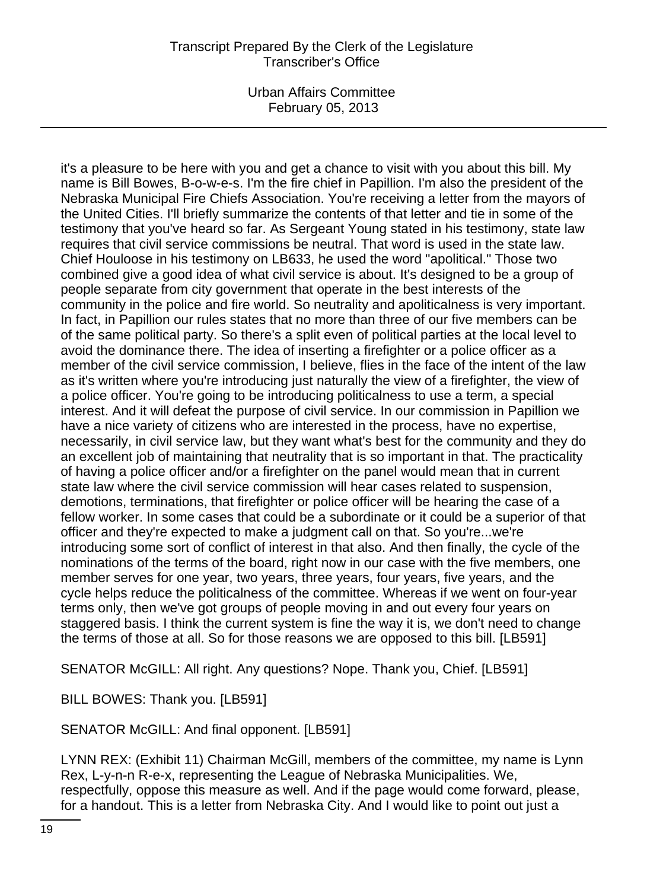Urban Affairs Committee February 05, 2013

it's a pleasure to be here with you and get a chance to visit with you about this bill. My name is Bill Bowes, B-o-w-e-s. I'm the fire chief in Papillion. I'm also the president of the Nebraska Municipal Fire Chiefs Association. You're receiving a letter from the mayors of the United Cities. I'll briefly summarize the contents of that letter and tie in some of the testimony that you've heard so far. As Sergeant Young stated in his testimony, state law requires that civil service commissions be neutral. That word is used in the state law. Chief Houloose in his testimony on LB633, he used the word "apolitical." Those two combined give a good idea of what civil service is about. It's designed to be a group of people separate from city government that operate in the best interests of the community in the police and fire world. So neutrality and apoliticalness is very important. In fact, in Papillion our rules states that no more than three of our five members can be of the same political party. So there's a split even of political parties at the local level to avoid the dominance there. The idea of inserting a firefighter or a police officer as a member of the civil service commission, I believe, flies in the face of the intent of the law as it's written where you're introducing just naturally the view of a firefighter, the view of a police officer. You're going to be introducing politicalness to use a term, a special interest. And it will defeat the purpose of civil service. In our commission in Papillion we have a nice variety of citizens who are interested in the process, have no expertise, necessarily, in civil service law, but they want what's best for the community and they do an excellent job of maintaining that neutrality that is so important in that. The practicality of having a police officer and/or a firefighter on the panel would mean that in current state law where the civil service commission will hear cases related to suspension, demotions, terminations, that firefighter or police officer will be hearing the case of a fellow worker. In some cases that could be a subordinate or it could be a superior of that officer and they're expected to make a judgment call on that. So you're...we're introducing some sort of conflict of interest in that also. And then finally, the cycle of the nominations of the terms of the board, right now in our case with the five members, one member serves for one year, two years, three years, four years, five years, and the cycle helps reduce the politicalness of the committee. Whereas if we went on four-year terms only, then we've got groups of people moving in and out every four years on staggered basis. I think the current system is fine the way it is, we don't need to change the terms of those at all. So for those reasons we are opposed to this bill. [LB591]

SENATOR McGILL: All right. Any questions? Nope. Thank you, Chief. [LB591]

BILL BOWES: Thank you. [LB591]

SENATOR McGILL: And final opponent. [LB591]

LYNN REX: (Exhibit 11) Chairman McGill, members of the committee, my name is Lynn Rex, L-y-n-n R-e-x, representing the League of Nebraska Municipalities. We, respectfully, oppose this measure as well. And if the page would come forward, please, for a handout. This is a letter from Nebraska City. And I would like to point out just a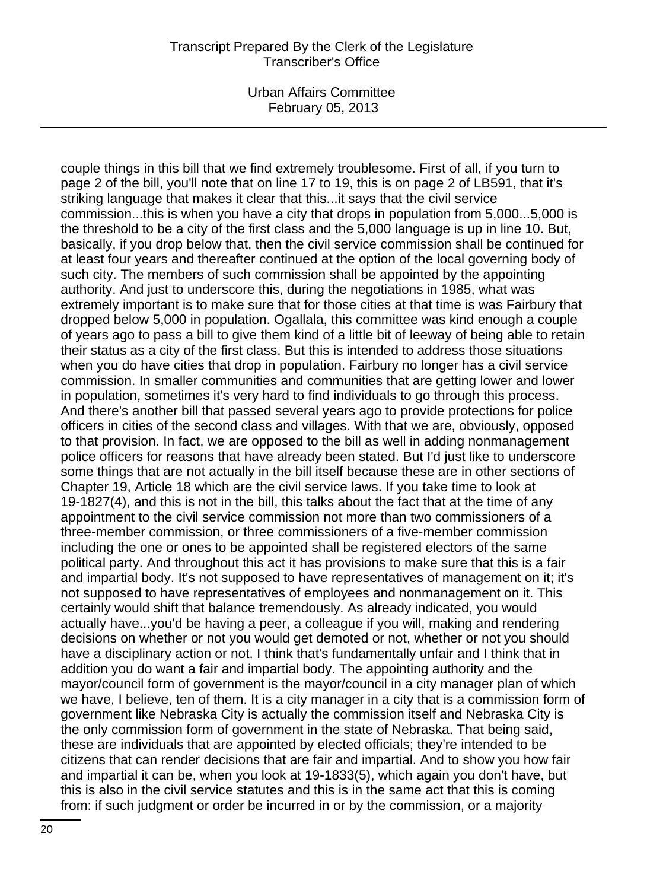Urban Affairs Committee February 05, 2013

couple things in this bill that we find extremely troublesome. First of all, if you turn to page 2 of the bill, you'll note that on line 17 to 19, this is on page 2 of LB591, that it's striking language that makes it clear that this...it says that the civil service commission...this is when you have a city that drops in population from 5,000...5,000 is the threshold to be a city of the first class and the 5,000 language is up in line 10. But, basically, if you drop below that, then the civil service commission shall be continued for at least four years and thereafter continued at the option of the local governing body of such city. The members of such commission shall be appointed by the appointing authority. And just to underscore this, during the negotiations in 1985, what was extremely important is to make sure that for those cities at that time is was Fairbury that dropped below 5,000 in population. Ogallala, this committee was kind enough a couple of years ago to pass a bill to give them kind of a little bit of leeway of being able to retain their status as a city of the first class. But this is intended to address those situations when you do have cities that drop in population. Fairbury no longer has a civil service commission. In smaller communities and communities that are getting lower and lower in population, sometimes it's very hard to find individuals to go through this process. And there's another bill that passed several years ago to provide protections for police officers in cities of the second class and villages. With that we are, obviously, opposed to that provision. In fact, we are opposed to the bill as well in adding nonmanagement police officers for reasons that have already been stated. But I'd just like to underscore some things that are not actually in the bill itself because these are in other sections of Chapter 19, Article 18 which are the civil service laws. If you take time to look at 19-1827(4), and this is not in the bill, this talks about the fact that at the time of any appointment to the civil service commission not more than two commissioners of a three-member commission, or three commissioners of a five-member commission including the one or ones to be appointed shall be registered electors of the same political party. And throughout this act it has provisions to make sure that this is a fair and impartial body. It's not supposed to have representatives of management on it; it's not supposed to have representatives of employees and nonmanagement on it. This certainly would shift that balance tremendously. As already indicated, you would actually have...you'd be having a peer, a colleague if you will, making and rendering decisions on whether or not you would get demoted or not, whether or not you should have a disciplinary action or not. I think that's fundamentally unfair and I think that in addition you do want a fair and impartial body. The appointing authority and the mayor/council form of government is the mayor/council in a city manager plan of which we have, I believe, ten of them. It is a city manager in a city that is a commission form of government like Nebraska City is actually the commission itself and Nebraska City is the only commission form of government in the state of Nebraska. That being said, these are individuals that are appointed by elected officials; they're intended to be citizens that can render decisions that are fair and impartial. And to show you how fair and impartial it can be, when you look at 19-1833(5), which again you don't have, but this is also in the civil service statutes and this is in the same act that this is coming from: if such judgment or order be incurred in or by the commission, or a majority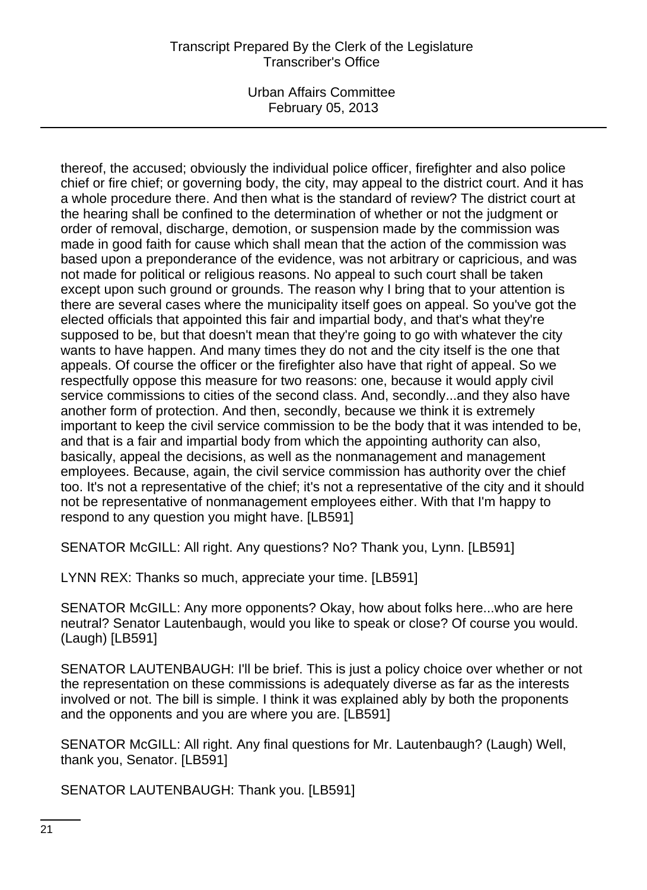Urban Affairs Committee February 05, 2013

thereof, the accused; obviously the individual police officer, firefighter and also police chief or fire chief; or governing body, the city, may appeal to the district court. And it has a whole procedure there. And then what is the standard of review? The district court at the hearing shall be confined to the determination of whether or not the judgment or order of removal, discharge, demotion, or suspension made by the commission was made in good faith for cause which shall mean that the action of the commission was based upon a preponderance of the evidence, was not arbitrary or capricious, and was not made for political or religious reasons. No appeal to such court shall be taken except upon such ground or grounds. The reason why I bring that to your attention is there are several cases where the municipality itself goes on appeal. So you've got the elected officials that appointed this fair and impartial body, and that's what they're supposed to be, but that doesn't mean that they're going to go with whatever the city wants to have happen. And many times they do not and the city itself is the one that appeals. Of course the officer or the firefighter also have that right of appeal. So we respectfully oppose this measure for two reasons: one, because it would apply civil service commissions to cities of the second class. And, secondly...and they also have another form of protection. And then, secondly, because we think it is extremely important to keep the civil service commission to be the body that it was intended to be, and that is a fair and impartial body from which the appointing authority can also, basically, appeal the decisions, as well as the nonmanagement and management employees. Because, again, the civil service commission has authority over the chief too. It's not a representative of the chief; it's not a representative of the city and it should not be representative of nonmanagement employees either. With that I'm happy to respond to any question you might have. [LB591]

SENATOR McGILL: All right. Any questions? No? Thank you, Lynn. [LB591]

LYNN REX: Thanks so much, appreciate your time. [LB591]

SENATOR McGILL: Any more opponents? Okay, how about folks here...who are here neutral? Senator Lautenbaugh, would you like to speak or close? Of course you would. (Laugh) [LB591]

SENATOR LAUTENBAUGH: I'll be brief. This is just a policy choice over whether or not the representation on these commissions is adequately diverse as far as the interests involved or not. The bill is simple. I think it was explained ably by both the proponents and the opponents and you are where you are. [LB591]

SENATOR McGILL: All right. Any final questions for Mr. Lautenbaugh? (Laugh) Well, thank you, Senator. [LB591]

SENATOR LAUTENBAUGH: Thank you. [LB591]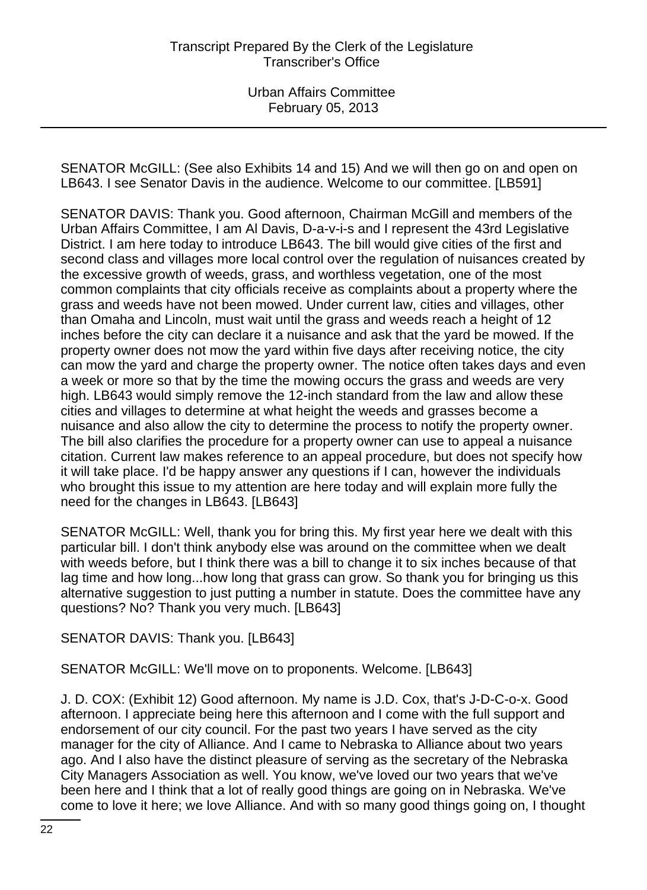SENATOR McGILL: (See also Exhibits 14 and 15) And we will then go on and open on LB643. I see Senator Davis in the audience. Welcome to our committee. [LB591]

SENATOR DAVIS: Thank you. Good afternoon, Chairman McGill and members of the Urban Affairs Committee, I am Al Davis, D-a-v-i-s and I represent the 43rd Legislative District. I am here today to introduce LB643. The bill would give cities of the first and second class and villages more local control over the regulation of nuisances created by the excessive growth of weeds, grass, and worthless vegetation, one of the most common complaints that city officials receive as complaints about a property where the grass and weeds have not been mowed. Under current law, cities and villages, other than Omaha and Lincoln, must wait until the grass and weeds reach a height of 12 inches before the city can declare it a nuisance and ask that the yard be mowed. If the property owner does not mow the yard within five days after receiving notice, the city can mow the yard and charge the property owner. The notice often takes days and even a week or more so that by the time the mowing occurs the grass and weeds are very high. LB643 would simply remove the 12-inch standard from the law and allow these cities and villages to determine at what height the weeds and grasses become a nuisance and also allow the city to determine the process to notify the property owner. The bill also clarifies the procedure for a property owner can use to appeal a nuisance citation. Current law makes reference to an appeal procedure, but does not specify how it will take place. I'd be happy answer any questions if I can, however the individuals who brought this issue to my attention are here today and will explain more fully the need for the changes in LB643. [LB643]

SENATOR McGILL: Well, thank you for bring this. My first year here we dealt with this particular bill. I don't think anybody else was around on the committee when we dealt with weeds before, but I think there was a bill to change it to six inches because of that lag time and how long...how long that grass can grow. So thank you for bringing us this alternative suggestion to just putting a number in statute. Does the committee have any questions? No? Thank you very much. [LB643]

SENATOR DAVIS: Thank you. [LB643]

SENATOR McGILL: We'll move on to proponents. Welcome. [LB643]

J. D. COX: (Exhibit 12) Good afternoon. My name is J.D. Cox, that's J-D-C-o-x. Good afternoon. I appreciate being here this afternoon and I come with the full support and endorsement of our city council. For the past two years I have served as the city manager for the city of Alliance. And I came to Nebraska to Alliance about two years ago. And I also have the distinct pleasure of serving as the secretary of the Nebraska City Managers Association as well. You know, we've loved our two years that we've been here and I think that a lot of really good things are going on in Nebraska. We've come to love it here; we love Alliance. And with so many good things going on, I thought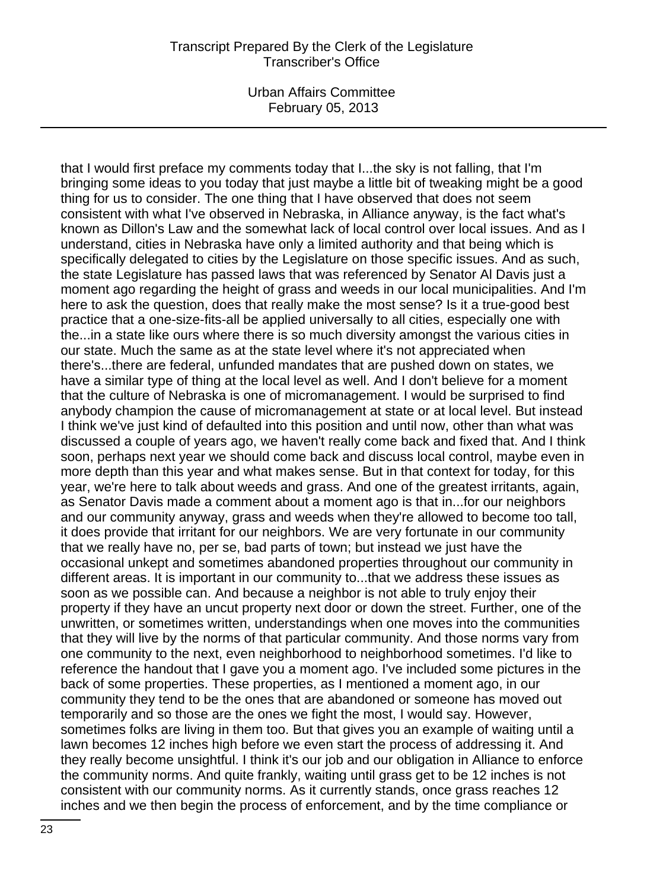Urban Affairs Committee February 05, 2013

that I would first preface my comments today that I...the sky is not falling, that I'm bringing some ideas to you today that just maybe a little bit of tweaking might be a good thing for us to consider. The one thing that I have observed that does not seem consistent with what I've observed in Nebraska, in Alliance anyway, is the fact what's known as Dillon's Law and the somewhat lack of local control over local issues. And as I understand, cities in Nebraska have only a limited authority and that being which is specifically delegated to cities by the Legislature on those specific issues. And as such, the state Legislature has passed laws that was referenced by Senator Al Davis just a moment ago regarding the height of grass and weeds in our local municipalities. And I'm here to ask the question, does that really make the most sense? Is it a true-good best practice that a one-size-fits-all be applied universally to all cities, especially one with the...in a state like ours where there is so much diversity amongst the various cities in our state. Much the same as at the state level where it's not appreciated when there's...there are federal, unfunded mandates that are pushed down on states, we have a similar type of thing at the local level as well. And I don't believe for a moment that the culture of Nebraska is one of micromanagement. I would be surprised to find anybody champion the cause of micromanagement at state or at local level. But instead I think we've just kind of defaulted into this position and until now, other than what was discussed a couple of years ago, we haven't really come back and fixed that. And I think soon, perhaps next year we should come back and discuss local control, maybe even in more depth than this year and what makes sense. But in that context for today, for this year, we're here to talk about weeds and grass. And one of the greatest irritants, again, as Senator Davis made a comment about a moment ago is that in...for our neighbors and our community anyway, grass and weeds when they're allowed to become too tall, it does provide that irritant for our neighbors. We are very fortunate in our community that we really have no, per se, bad parts of town; but instead we just have the occasional unkept and sometimes abandoned properties throughout our community in different areas. It is important in our community to...that we address these issues as soon as we possible can. And because a neighbor is not able to truly enjoy their property if they have an uncut property next door or down the street. Further, one of the unwritten, or sometimes written, understandings when one moves into the communities that they will live by the norms of that particular community. And those norms vary from one community to the next, even neighborhood to neighborhood sometimes. I'd like to reference the handout that I gave you a moment ago. I've included some pictures in the back of some properties. These properties, as I mentioned a moment ago, in our community they tend to be the ones that are abandoned or someone has moved out temporarily and so those are the ones we fight the most, I would say. However, sometimes folks are living in them too. But that gives you an example of waiting until a lawn becomes 12 inches high before we even start the process of addressing it. And they really become unsightful. I think it's our job and our obligation in Alliance to enforce the community norms. And quite frankly, waiting until grass get to be 12 inches is not consistent with our community norms. As it currently stands, once grass reaches 12 inches and we then begin the process of enforcement, and by the time compliance or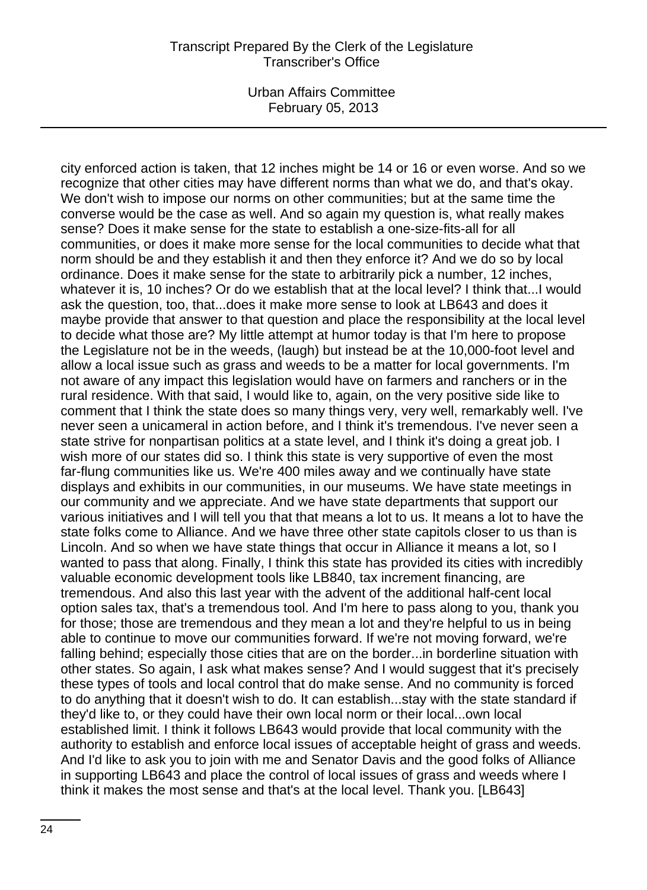Urban Affairs Committee February 05, 2013

city enforced action is taken, that 12 inches might be 14 or 16 or even worse. And so we recognize that other cities may have different norms than what we do, and that's okay. We don't wish to impose our norms on other communities; but at the same time the converse would be the case as well. And so again my question is, what really makes sense? Does it make sense for the state to establish a one-size-fits-all for all communities, or does it make more sense for the local communities to decide what that norm should be and they establish it and then they enforce it? And we do so by local ordinance. Does it make sense for the state to arbitrarily pick a number, 12 inches, whatever it is, 10 inches? Or do we establish that at the local level? I think that...I would ask the question, too, that...does it make more sense to look at LB643 and does it maybe provide that answer to that question and place the responsibility at the local level to decide what those are? My little attempt at humor today is that I'm here to propose the Legislature not be in the weeds, (laugh) but instead be at the 10,000-foot level and allow a local issue such as grass and weeds to be a matter for local governments. I'm not aware of any impact this legislation would have on farmers and ranchers or in the rural residence. With that said, I would like to, again, on the very positive side like to comment that I think the state does so many things very, very well, remarkably well. I've never seen a unicameral in action before, and I think it's tremendous. I've never seen a state strive for nonpartisan politics at a state level, and I think it's doing a great job. I wish more of our states did so. I think this state is very supportive of even the most far-flung communities like us. We're 400 miles away and we continually have state displays and exhibits in our communities, in our museums. We have state meetings in our community and we appreciate. And we have state departments that support our various initiatives and I will tell you that that means a lot to us. It means a lot to have the state folks come to Alliance. And we have three other state capitols closer to us than is Lincoln. And so when we have state things that occur in Alliance it means a lot, so I wanted to pass that along. Finally, I think this state has provided its cities with incredibly valuable economic development tools like LB840, tax increment financing, are tremendous. And also this last year with the advent of the additional half-cent local option sales tax, that's a tremendous tool. And I'm here to pass along to you, thank you for those; those are tremendous and they mean a lot and they're helpful to us in being able to continue to move our communities forward. If we're not moving forward, we're falling behind; especially those cities that are on the border...in borderline situation with other states. So again, I ask what makes sense? And I would suggest that it's precisely these types of tools and local control that do make sense. And no community is forced to do anything that it doesn't wish to do. It can establish...stay with the state standard if they'd like to, or they could have their own local norm or their local...own local established limit. I think it follows LB643 would provide that local community with the authority to establish and enforce local issues of acceptable height of grass and weeds. And I'd like to ask you to join with me and Senator Davis and the good folks of Alliance in supporting LB643 and place the control of local issues of grass and weeds where I think it makes the most sense and that's at the local level. Thank you. [LB643]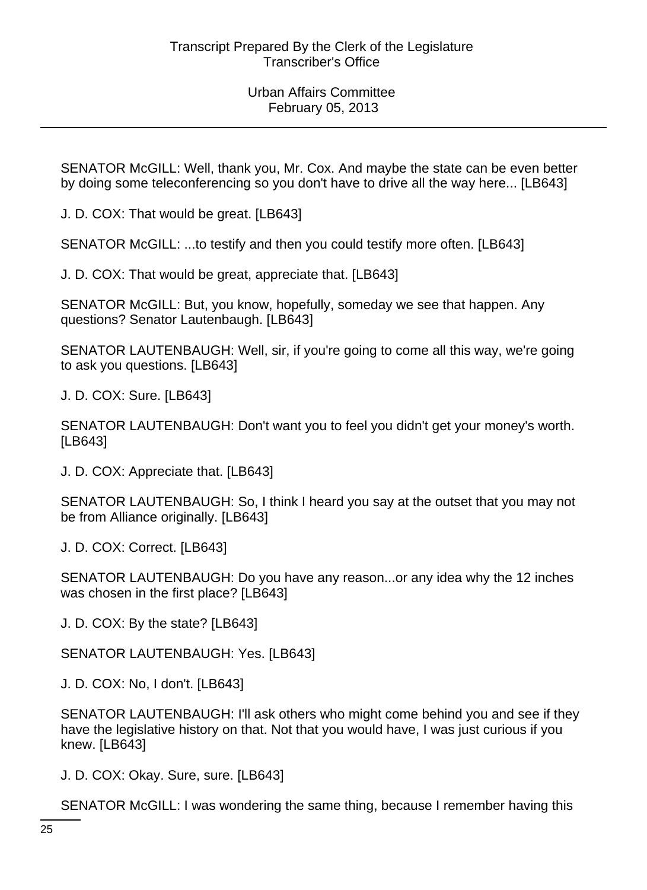SENATOR McGILL: Well, thank you, Mr. Cox. And maybe the state can be even better by doing some teleconferencing so you don't have to drive all the way here... [LB643]

J. D. COX: That would be great. [LB643]

SENATOR McGILL: ...to testify and then you could testify more often. [LB643]

J. D. COX: That would be great, appreciate that. [LB643]

SENATOR McGILL: But, you know, hopefully, someday we see that happen. Any questions? Senator Lautenbaugh. [LB643]

SENATOR LAUTENBAUGH: Well, sir, if you're going to come all this way, we're going to ask you questions. [LB643]

J. D. COX: Sure. [LB643]

SENATOR LAUTENBAUGH: Don't want you to feel you didn't get your money's worth. [LB643]

J. D. COX: Appreciate that. [LB643]

SENATOR LAUTENBAUGH: So, I think I heard you say at the outset that you may not be from Alliance originally. [LB643]

J. D. COX: Correct. [LB643]

SENATOR LAUTENBAUGH: Do you have any reason...or any idea why the 12 inches was chosen in the first place? [LB643]

J. D. COX: By the state? [LB643]

SENATOR LAUTENBAUGH: Yes. [LB643]

J. D. COX: No, I don't. [LB643]

SENATOR LAUTENBAUGH: I'll ask others who might come behind you and see if they have the legislative history on that. Not that you would have, I was just curious if you knew. [LB643]

J. D. COX: Okay. Sure, sure. [LB643]

SENATOR McGILL: I was wondering the same thing, because I remember having this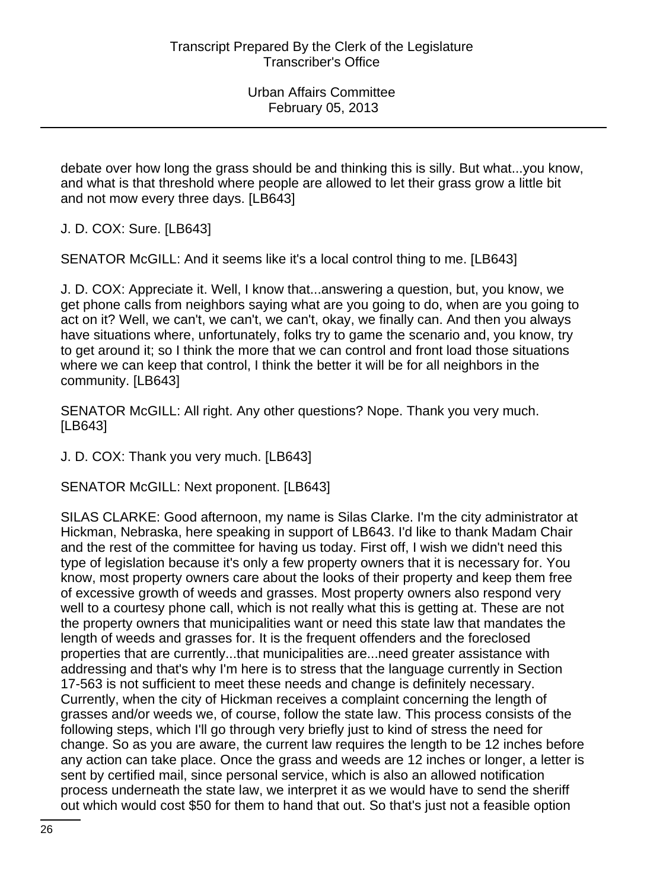debate over how long the grass should be and thinking this is silly. But what...you know, and what is that threshold where people are allowed to let their grass grow a little bit and not mow every three days. [LB643]

J. D. COX: Sure. [LB643]

SENATOR McGILL: And it seems like it's a local control thing to me. [LB643]

J. D. COX: Appreciate it. Well, I know that...answering a question, but, you know, we get phone calls from neighbors saying what are you going to do, when are you going to act on it? Well, we can't, we can't, we can't, okay, we finally can. And then you always have situations where, unfortunately, folks try to game the scenario and, you know, try to get around it; so I think the more that we can control and front load those situations where we can keep that control, I think the better it will be for all neighbors in the community. [LB643]

SENATOR McGILL: All right. Any other questions? Nope. Thank you very much. [LB643]

J. D. COX: Thank you very much. [LB643]

SENATOR McGILL: Next proponent. [LB643]

SILAS CLARKE: Good afternoon, my name is Silas Clarke. I'm the city administrator at Hickman, Nebraska, here speaking in support of LB643. I'd like to thank Madam Chair and the rest of the committee for having us today. First off, I wish we didn't need this type of legislation because it's only a few property owners that it is necessary for. You know, most property owners care about the looks of their property and keep them free of excessive growth of weeds and grasses. Most property owners also respond very well to a courtesy phone call, which is not really what this is getting at. These are not the property owners that municipalities want or need this state law that mandates the length of weeds and grasses for. It is the frequent offenders and the foreclosed properties that are currently...that municipalities are...need greater assistance with addressing and that's why I'm here is to stress that the language currently in Section 17-563 is not sufficient to meet these needs and change is definitely necessary. Currently, when the city of Hickman receives a complaint concerning the length of grasses and/or weeds we, of course, follow the state law. This process consists of the following steps, which I'll go through very briefly just to kind of stress the need for change. So as you are aware, the current law requires the length to be 12 inches before any action can take place. Once the grass and weeds are 12 inches or longer, a letter is sent by certified mail, since personal service, which is also an allowed notification process underneath the state law, we interpret it as we would have to send the sheriff out which would cost \$50 for them to hand that out. So that's just not a feasible option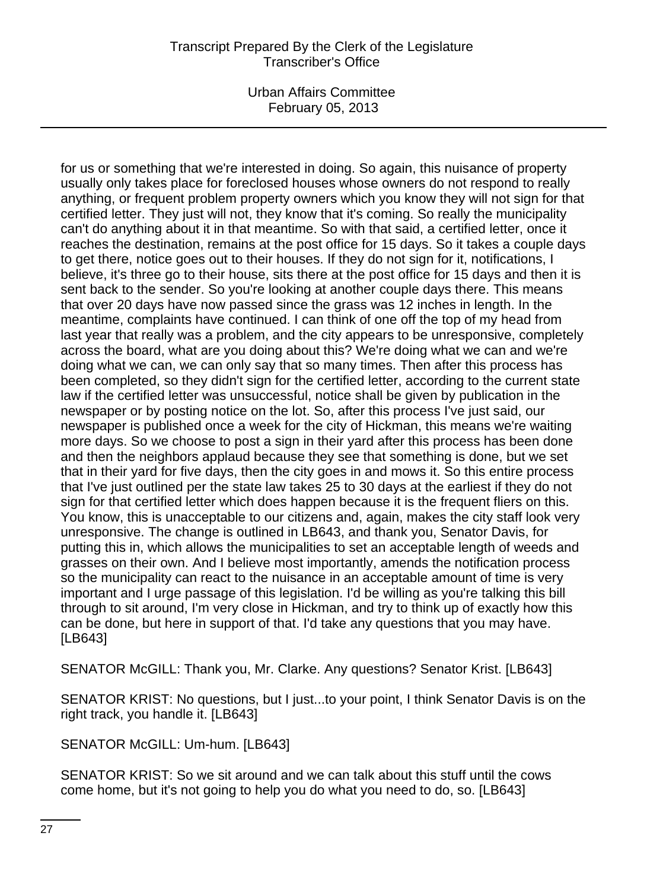Urban Affairs Committee February 05, 2013

for us or something that we're interested in doing. So again, this nuisance of property usually only takes place for foreclosed houses whose owners do not respond to really anything, or frequent problem property owners which you know they will not sign for that certified letter. They just will not, they know that it's coming. So really the municipality can't do anything about it in that meantime. So with that said, a certified letter, once it reaches the destination, remains at the post office for 15 days. So it takes a couple days to get there, notice goes out to their houses. If they do not sign for it, notifications, I believe, it's three go to their house, sits there at the post office for 15 days and then it is sent back to the sender. So you're looking at another couple days there. This means that over 20 days have now passed since the grass was 12 inches in length. In the meantime, complaints have continued. I can think of one off the top of my head from last year that really was a problem, and the city appears to be unresponsive, completely across the board, what are you doing about this? We're doing what we can and we're doing what we can, we can only say that so many times. Then after this process has been completed, so they didn't sign for the certified letter, according to the current state law if the certified letter was unsuccessful, notice shall be given by publication in the newspaper or by posting notice on the lot. So, after this process I've just said, our newspaper is published once a week for the city of Hickman, this means we're waiting more days. So we choose to post a sign in their yard after this process has been done and then the neighbors applaud because they see that something is done, but we set that in their yard for five days, then the city goes in and mows it. So this entire process that I've just outlined per the state law takes 25 to 30 days at the earliest if they do not sign for that certified letter which does happen because it is the frequent fliers on this. You know, this is unacceptable to our citizens and, again, makes the city staff look very unresponsive. The change is outlined in LB643, and thank you, Senator Davis, for putting this in, which allows the municipalities to set an acceptable length of weeds and grasses on their own. And I believe most importantly, amends the notification process so the municipality can react to the nuisance in an acceptable amount of time is very important and I urge passage of this legislation. I'd be willing as you're talking this bill through to sit around, I'm very close in Hickman, and try to think up of exactly how this can be done, but here in support of that. I'd take any questions that you may have. [LB643]

SENATOR McGILL: Thank you, Mr. Clarke. Any questions? Senator Krist. [LB643]

SENATOR KRIST: No questions, but I just...to your point, I think Senator Davis is on the right track, you handle it. [LB643]

SENATOR McGILL: Um-hum. [LB643]

SENATOR KRIST: So we sit around and we can talk about this stuff until the cows come home, but it's not going to help you do what you need to do, so. [LB643]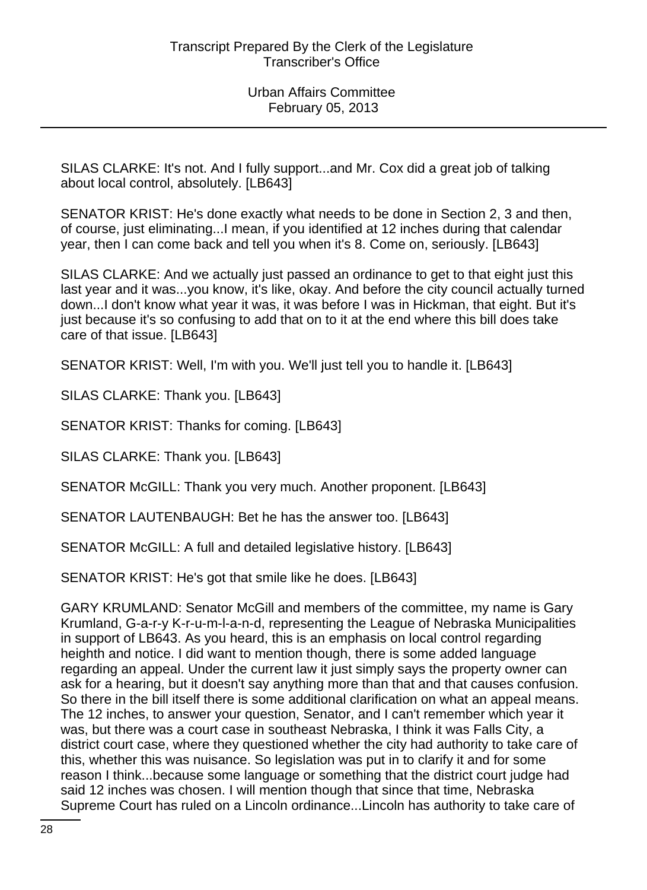SILAS CLARKE: It's not. And I fully support...and Mr. Cox did a great job of talking about local control, absolutely. [LB643]

SENATOR KRIST: He's done exactly what needs to be done in Section 2, 3 and then, of course, just eliminating...I mean, if you identified at 12 inches during that calendar year, then I can come back and tell you when it's 8. Come on, seriously. [LB643]

SILAS CLARKE: And we actually just passed an ordinance to get to that eight just this last year and it was...you know, it's like, okay. And before the city council actually turned down...I don't know what year it was, it was before I was in Hickman, that eight. But it's just because it's so confusing to add that on to it at the end where this bill does take care of that issue. [LB643]

SENATOR KRIST: Well, I'm with you. We'll just tell you to handle it. [LB643]

SILAS CLARKE: Thank you. [LB643]

SENATOR KRIST: Thanks for coming. [LB643]

SILAS CLARKE: Thank you. [LB643]

SENATOR McGILL: Thank you very much. Another proponent. [LB643]

SENATOR LAUTENBAUGH: Bet he has the answer too. [LB643]

SENATOR McGILL: A full and detailed legislative history. [LB643]

SENATOR KRIST: He's got that smile like he does. [LB643]

GARY KRUMLAND: Senator McGill and members of the committee, my name is Gary Krumland, G-a-r-y K-r-u-m-l-a-n-d, representing the League of Nebraska Municipalities in support of LB643. As you heard, this is an emphasis on local control regarding heighth and notice. I did want to mention though, there is some added language regarding an appeal. Under the current law it just simply says the property owner can ask for a hearing, but it doesn't say anything more than that and that causes confusion. So there in the bill itself there is some additional clarification on what an appeal means. The 12 inches, to answer your question, Senator, and I can't remember which year it was, but there was a court case in southeast Nebraska, I think it was Falls City, a district court case, where they questioned whether the city had authority to take care of this, whether this was nuisance. So legislation was put in to clarify it and for some reason I think...because some language or something that the district court judge had said 12 inches was chosen. I will mention though that since that time, Nebraska Supreme Court has ruled on a Lincoln ordinance...Lincoln has authority to take care of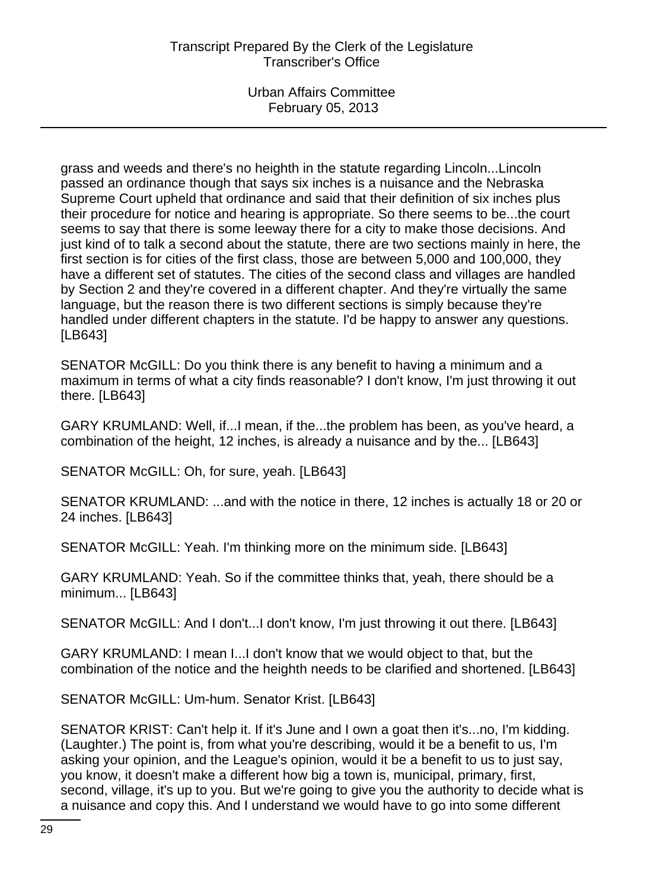grass and weeds and there's no heighth in the statute regarding Lincoln...Lincoln passed an ordinance though that says six inches is a nuisance and the Nebraska Supreme Court upheld that ordinance and said that their definition of six inches plus their procedure for notice and hearing is appropriate. So there seems to be...the court seems to say that there is some leeway there for a city to make those decisions. And just kind of to talk a second about the statute, there are two sections mainly in here, the first section is for cities of the first class, those are between 5,000 and 100,000, they have a different set of statutes. The cities of the second class and villages are handled by Section 2 and they're covered in a different chapter. And they're virtually the same language, but the reason there is two different sections is simply because they're handled under different chapters in the statute. I'd be happy to answer any questions. [LB643]

SENATOR McGILL: Do you think there is any benefit to having a minimum and a maximum in terms of what a city finds reasonable? I don't know, I'm just throwing it out there. [LB643]

GARY KRUMLAND: Well, if...I mean, if the...the problem has been, as you've heard, a combination of the height, 12 inches, is already a nuisance and by the... [LB643]

SENATOR McGILL: Oh, for sure, yeah. [LB643]

SENATOR KRUMLAND: ...and with the notice in there, 12 inches is actually 18 or 20 or 24 inches. [LB643]

SENATOR McGILL: Yeah. I'm thinking more on the minimum side. [LB643]

GARY KRUMLAND: Yeah. So if the committee thinks that, yeah, there should be a minimum... [LB643]

SENATOR McGILL: And I don't...I don't know, I'm just throwing it out there. [LB643]

GARY KRUMLAND: I mean I...I don't know that we would object to that, but the combination of the notice and the heighth needs to be clarified and shortened. [LB643]

SENATOR McGILL: Um-hum. Senator Krist. [LB643]

SENATOR KRIST: Can't help it. If it's June and I own a goat then it's...no, I'm kidding. (Laughter.) The point is, from what you're describing, would it be a benefit to us, I'm asking your opinion, and the League's opinion, would it be a benefit to us to just say, you know, it doesn't make a different how big a town is, municipal, primary, first, second, village, it's up to you. But we're going to give you the authority to decide what is a nuisance and copy this. And I understand we would have to go into some different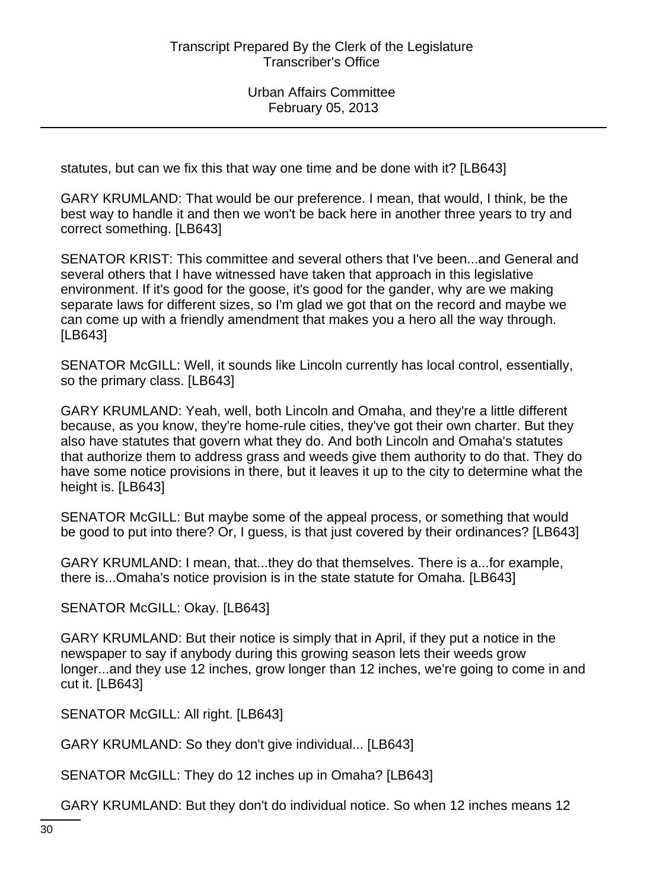statutes, but can we fix this that way one time and be done with it? [LB643]

GARY KRUMLAND: That would be our preference. I mean, that would, I think, be the best way to handle it and then we won't be back here in another three years to try and correct something. [LB643]

SENATOR KRIST: This committee and several others that I've been...and General and several others that I have witnessed have taken that approach in this legislative environment. If it's good for the goose, it's good for the gander, why are we making separate laws for different sizes, so I'm glad we got that on the record and maybe we can come up with a friendly amendment that makes you a hero all the way through. [LB643]

SENATOR McGILL: Well, it sounds like Lincoln currently has local control, essentially, so the primary class. [LB643]

GARY KRUMLAND: Yeah, well, both Lincoln and Omaha, and they're a little different because, as you know, they're home-rule cities, they've got their own charter. But they also have statutes that govern what they do. And both Lincoln and Omaha's statutes that authorize them to address grass and weeds give them authority to do that. They do have some notice provisions in there, but it leaves it up to the city to determine what the height is. [LB643]

SENATOR McGILL: But maybe some of the appeal process, or something that would be good to put into there? Or, I guess, is that just covered by their ordinances? [LB643]

GARY KRUMLAND: I mean, that...they do that themselves. There is a...for example, there is...Omaha's notice provision is in the state statute for Omaha. [LB643]

SENATOR McGILL: Okay. [LB643]

GARY KRUMLAND: But their notice is simply that in April, if they put a notice in the newspaper to say if anybody during this growing season lets their weeds grow longer...and they use 12 inches, grow longer than 12 inches, we're going to come in and cut it. [LB643]

SENATOR McGILL: All right. [LB643]

GARY KRUMLAND: So they don't give individual... [LB643]

SENATOR McGILL: They do 12 inches up in Omaha? [LB643]

GARY KRUMLAND: But they don't do individual notice. So when 12 inches means 12